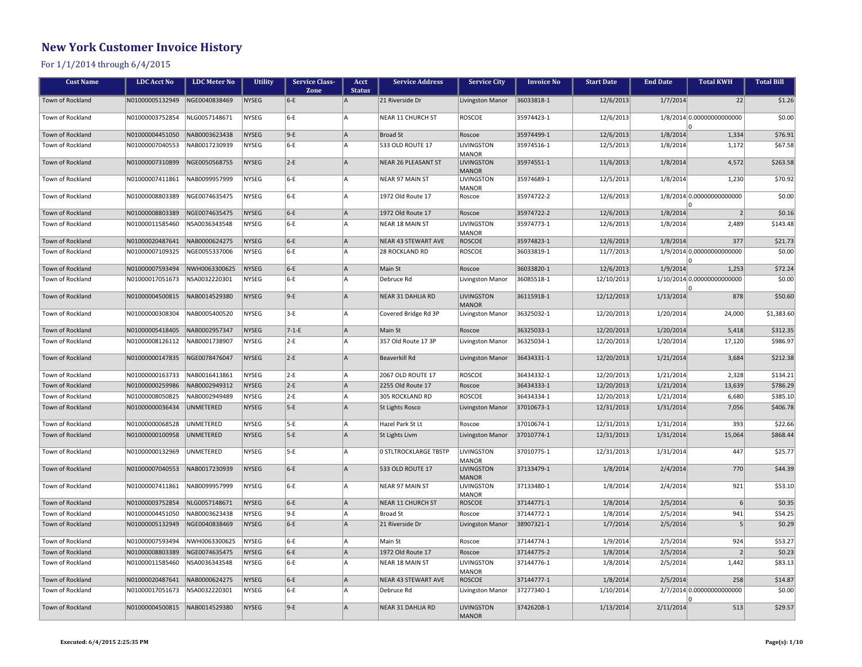## New York Customer Invoice History

## For 1/1/2014 through 6/4/2015

| <b>Cust Name</b> | <b>LDC Acct No</b> | <b>LDC Meter No</b> | <b>Utility</b> | <b>Service Class-</b><br>Zone | Acct<br><b>Status</b> | <b>Service Address</b>       | <b>Service City</b>               | <b>Invoice No</b> | <b>Start Date</b> | <b>End Date</b> | <b>Total KWH</b>           | <b>Total Bill</b> |
|------------------|--------------------|---------------------|----------------|-------------------------------|-----------------------|------------------------------|-----------------------------------|-------------------|-------------------|-----------------|----------------------------|-------------------|
| Town of Rockland | N01000005132949    | NGE0040838469       | <b>NYSEG</b>   | $6-E$                         | IA.                   | 21 Riverside Dr              | Livingston Manor                  | 36033818-1        | 12/6/2013         | 1/7/2014        | 22                         | \$1.26            |
| Town of Rockland | N01000003752854    | NLG0057148671       | <b>NYSEG</b>   | $6-E$                         | A                     | NEAR 11 CHURCH ST            | <b>ROSCOE</b>                     | 35974423-1        | 12/6/2013         |                 | 1/8/2014 0.00000000000000  | \$0.00            |
| Town of Rockland | N01000004451050    | NAB0003623438       | <b>NYSEG</b>   | 9-E                           | lA                    | <b>Broad St</b>              | Roscoe                            | 35974499-1        | 12/6/2013         | 1/8/2014        | 1,334                      | \$76.91           |
| Town of Rockland | N01000007040553    | NAB0017230939       | <b>NYSEG</b>   | $6-E$                         | A                     | 533 OLD ROUTE 17             | LIVINGSTON<br><b>MANOR</b>        | 35974516-1        | 12/5/2013         | 1/8/2014        | 1,172                      | \$67.58           |
| Town of Rockland | N01000007310899    | NGE0050568755       | <b>NYSEG</b>   | $2-E$                         | la.                   | NEAR 26 PLEASANT ST          | LIVINGSTON<br><b>MANOR</b>        | 35974551-1        | 11/6/2013         | 1/8/2014        | 4,572                      | \$263.58          |
| Town of Rockland | N01000007411861    | NAB0099957999       | <b>NYSEG</b>   | $6-E$                         | ۱Δ                    | NEAR 97 MAIN ST              | LIVINGSTON<br><b>MANOR</b>        | 35974689-1        | 12/5/2013         | 1/8/2014        | 1,230                      | \$70.92           |
| Town of Rockland | N01000008803389    | NGE0074635475       | <b>NYSEG</b>   | $6-E$                         | A                     | 1972 Old Route 17            | Roscoe                            | 35974722-2        | 12/6/2013         |                 | 1/8/2014 0.00000000000000  | \$0.00            |
| Town of Rockland | N01000008803389    | NGE0074635475       | <b>NYSEG</b>   | 6-E                           | la.                   | 1972 Old Route 17            | Roscoe                            | 35974722-2        | 12/6/2013         | 1/8/2014        | $\overline{2}$             | \$0.16            |
| Town of Rockland | N01000011585460    | NSA0036343548       | <b>NYSEG</b>   | $6-E$                         | A                     | <b>NEAR 18 MAIN ST</b>       | <b>LIVINGSTON</b><br><b>MANOR</b> | 35974773-1        | 12/6/2013         | 1/8/2014        | 2,489                      | \$143.48          |
| Town of Rockland | N01000020487641    | NAB0000624275       | <b>NYSEG</b>   | 6-E                           | la.                   | <b>NEAR 43 STEWART AVE</b>   | <b>ROSCOE</b>                     | 35974823-1        | 12/6/2013         | 1/8/2014        | 377                        | \$21.73           |
| Town of Rockland | N01000007109325    | NGE0055337006       | <b>NYSEG</b>   | $6-E$                         | А                     | 28 ROCKLAND RD               | <b>ROSCOE</b>                     | 36033819-1        | 11/7/2013         |                 | 1/9/2014 0.00000000000000  | \$0.00            |
| Town of Rockland | N01000007593494    | NWH0063300625       | <b>NYSEG</b>   | $6-E$                         | A                     | Main St                      | Roscoe                            | 36033820-1        | 12/6/2013         | 1/9/2014        | 1,253                      | \$72.24           |
| Town of Rockland | N01000017051673    | NSA0032220301       | <b>NYSEG</b>   | $6-E$                         |                       | Debruce Rd                   | Livingston Manor                  | 36085518-1        | 12/10/2013        |                 | 1/10/2014 0.00000000000000 | \$0.00            |
| Town of Rockland | N01000004500815    | NAB0014529380       | <b>NYSEG</b>   | 9-E                           | la.                   | NEAR 31 DAHLIA RD            | <b>LIVINGSTON</b><br><b>MANOR</b> | 36115918-1        | 12/12/2013        | 1/13/2014       | 878                        | \$50.60           |
| Town of Rockland | N01000000308304    | NAB0005400520       | <b>NYSEG</b>   | $3-E$                         | la.                   | Covered Bridge Rd 3P         | Livingston Manor                  | 36325032-1        | 12/20/2013        | 1/20/2014       | 24,000                     | \$1,383.60        |
| Town of Rockland | N01000005418405    | NAB0002957347       | <b>NYSEG</b>   | $7-1-E$                       | la                    | Main St                      | Roscoe                            | 36325033-1        | 12/20/2013        | 1/20/2014       | 5,418                      | \$312.35          |
| Town of Rockland | N01000008126112    | NAB0001738907       | <b>NYSEG</b>   | $2-E$                         | A                     | 357 Old Route 17 3P          | Livingston Manor                  | 36325034-1        | 12/20/2013        | 1/20/2014       | 17,120                     | \$986.97          |
| Town of Rockland | N01000000147835    | NGE0078476047       | <b>NYSEG</b>   | $2-E$                         | lA.                   | Beaverkill Rd                | Livingston Manor                  | 36434331-1        | 12/20/2013        | 1/21/2014       | 3,684                      | \$212.38          |
| Town of Rockland | N01000000163733    | NAB0016413861       | <b>NYSEG</b>   | $2-E$                         | IA                    | 2067 OLD ROUTE 17            | ROSCOE                            | 36434332-1        | 12/20/2013        | 1/21/2014       | 2,328                      | \$134.21          |
| Town of Rockland | N01000000259986    | NAB0002949312       | <b>NYSEG</b>   | $2-E$                         | lA.                   | 2255 Old Route 17            | Roscoe                            | 36434333-1        | 12/20/2013        | 1/21/2014       | 13,639                     | \$786.29          |
| Town of Rockland | N01000008050825    | NAB0002949489       | <b>NYSEG</b>   | $2-E$                         | A                     | 305 ROCKLAND RD              | <b>ROSCOE</b>                     | 36434334-1        | 12/20/2013        | 1/21/2014       | 6,680                      | \$385.10          |
| Town of Rockland | N01000000036434    | UNMETERED           | <b>NYSEG</b>   | 5-E                           | la.                   | St Lights Rosco              | Livingston Manor                  | 37010673-1        | 12/31/2013        | 1/31/2014       | 7,056                      | \$406.78          |
| Town of Rockland | N01000000068528    | UNMETERED           | <b>NYSEG</b>   | $5-E$                         | А                     | Hazel Park St Lt             | Roscoe                            | 37010674-1        | 12/31/2013        | 1/31/2014       | 393                        | \$22.66           |
| Town of Rockland | N01000000100958    | UNMETERED           | <b>NYSEG</b>   | 5-E                           | A.                    | St Lights Livm               | Livingston Manor                  | 37010774-1        | 12/31/2013        | 1/31/2014       | 15,064                     | \$868.44          |
| Town of Rockland | N01000000132969    | UNMETERED           | <b>NYSEG</b>   | 5-E                           | lA                    | <b>0 STLTROCKLARGE TBSTP</b> | LIVINGSTON<br><b>MANOR</b>        | 37010775-1        | 12/31/2013        | 1/31/2014       | 447                        | \$25.77           |
| Town of Rockland | N01000007040553    | NAB0017230939       | <b>NYSEG</b>   | 6-E                           | la.                   | 533 OLD ROUTE 17             | LIVINGSTON<br><b>MANOR</b>        | 37133479-1        | 1/8/2014          | 2/4/2014        | 770                        | \$44.39           |
| Town of Rockland | N01000007411861    | NAB0099957999       | <b>NYSEG</b>   | $6-E$                         | lA                    | NEAR 97 MAIN ST              | <b>LIVINGSTON</b><br><b>MANOR</b> | 37133480-1        | 1/8/2014          | 2/4/2014        | 921                        | \$53.10           |
| Town of Rockland | N01000003752854    | NLG0057148671       | <b>NYSEG</b>   | 6-E                           | lA.                   | <b>NEAR 11 CHURCH ST</b>     | <b>ROSCOE</b>                     | 37144771-1        | 1/8/2014          | 2/5/2014        | 6                          | \$0.35            |
| Town of Rockland | N01000004451050    | NAB0003623438       | <b>NYSEG</b>   | $9-E$                         | A                     | <b>Broad St</b>              | Roscoe                            | 37144772-1        | 1/8/2014          | 2/5/2014        | 941                        | \$54.25           |
| Town of Rockland | N01000005132949    | NGE0040838469       | <b>NYSEG</b>   | $6-E$                         | A                     | 21 Riverside Dr              | Livingston Manor                  | 38907321-1        | 1/7/2014          | 2/5/2014        | 5                          | \$0.29            |
| Town of Rockland | N01000007593494    | NWH0063300625       | <b>NYSEG</b>   | $6-E$                         | A                     | Main St                      | Roscoe                            | 37144774-1        | 1/9/2014          | 2/5/2014        | 924                        | \$53.27           |
| Town of Rockland | N01000008803389    | NGE0074635475       | <b>NYSEG</b>   | 6-E                           | A                     | 1972 Old Route 17            | Roscoe                            | 37144775-2        | 1/8/2014          | 2/5/2014        | 2                          | \$0.23            |
| Town of Rockland | N01000011585460    | NSA0036343548       | <b>NYSEG</b>   | $6-E$                         | A                     | <b>NEAR 18 MAIN ST</b>       | LIVINGSTON<br><b>MANOR</b>        | 37144776-1        | 1/8/2014          | 2/5/2014        | 1,442                      | \$83.13           |
| Town of Rockland | N01000020487641    | NAB0000624275       | <b>NYSEG</b>   | $6-E$                         | A                     | NEAR 43 STEWART AVE          | <b>ROSCOE</b>                     | 37144777-1        | 1/8/2014          | 2/5/2014        | 258                        | \$14.87           |
| Town of Rockland | N01000017051673    | NSA0032220301       | <b>NYSEG</b>   | $6-E$                         |                       | Debruce Rd                   | Livingston Manor                  | 37277340-1        | 1/10/2014         |                 | 2/7/2014 0.00000000000000  | \$0.00            |
| Town of Rockland | N01000004500815    | NAB0014529380       | <b>NYSEG</b>   | 9-E                           | İΑ                    | NEAR 31 DAHLIA RD            | <b>LIVINGSTON</b><br><b>MANOR</b> | 37426208-1        | 1/13/2014         | 2/11/2014       | 513                        | \$29.57           |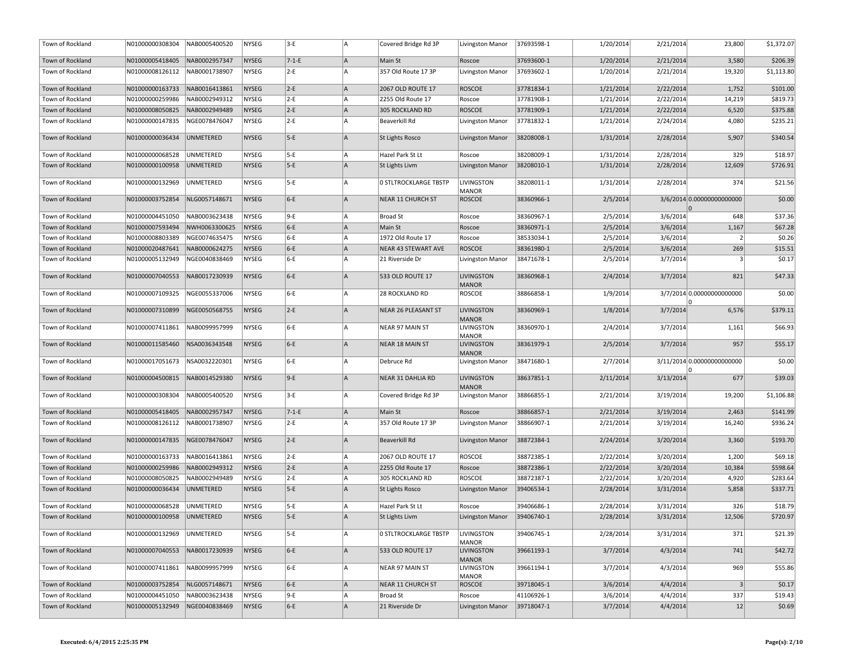| Town of Rockland | N01000000308304 | NAB0005400520 | NYSEG        | $3-E$   | ÌА. | Covered Bridge Rd 3P         | Livingston Manor                  | 37693598-1 | 1/20/2014 | 2/21/2014 | 23,800                     | \$1,372.07 |
|------------------|-----------------|---------------|--------------|---------|-----|------------------------------|-----------------------------------|------------|-----------|-----------|----------------------------|------------|
| Town of Rockland | N01000005418405 | NAB0002957347 | NYSEG        | $7-1-E$ | A   | Main St                      | Roscoe                            | 37693600-1 | 1/20/2014 | 2/21/2014 | 3,580                      | \$206.39   |
| Town of Rockland | N01000008126112 | NAB0001738907 | <b>NYSEG</b> | 2-E     | lA. | 357 Old Route 17 3P          | Livingston Manor                  | 37693602-1 | 1/20/2014 | 2/21/2014 | 19,320                     | \$1,113.80 |
| Town of Rockland | N01000000163733 | NAB0016413861 | <b>NYSEG</b> | $ 2-E $ | A   | <b>2067 OLD ROUTE 17</b>     | <b>ROSCOE</b>                     | 37781834-1 | 1/21/2014 | 2/22/2014 | 1,752                      | \$101.00   |
| Town of Rockland | N01000000259986 | NAB0002949312 | <b>NYSEG</b> | $2-E$   | A   | 2255 Old Route 17            | Roscoe                            | 37781908-1 | 1/21/2014 | 2/22/2014 | 14,219                     | \$819.73   |
| Town of Rockland | N01000008050825 | NAB0002949489 | <b>NYSEG</b> | $ 2-E $ | A   | 305 ROCKLAND RD              | <b>ROSCOE</b>                     | 37781909-1 | 1/21/2014 | 2/22/2014 | 6,520                      | \$375.88   |
| Town of Rockland | N01000000147835 | NGE0078476047 | NYSEG        | 2-E     | lA. | Beaverkill Rd                | Livingston Manor                  | 37781832-1 | 1/21/2014 | 2/24/2014 | 4,080                      | \$235.21   |
| Town of Rockland | N01000000036434 | UNMETERED     | <b>NYSEG</b> | $5-E$   | A   | St Lights Rosco              | Livingston Manor                  | 38208008-1 | 1/31/2014 | 2/28/2014 | 5,907                      | \$340.54   |
| Town of Rockland | N01000000068528 | UNMETERED     | NYSEG        | 5-E     | A   | Hazel Park St Lt             | Roscoe                            | 38208009-1 | 1/31/2014 | 2/28/2014 | 329                        | \$18.97    |
| Town of Rockland | N01000000100958 | UNMETERED     | <b>NYSEG</b> | $5-E$   | A   | St Lights Livm               | Livingston Manor                  | 38208010-1 | 1/31/2014 | 2/28/2014 | 12,609                     | \$726.91   |
| Town of Rockland | N01000000132969 | UNMETERED     | <b>NYSEG</b> | 5-E     | lA. | <b>0 STLTROCKLARGE TBSTP</b> | LIVINGSTON<br><b>MANOR</b>        | 38208011-1 | 1/31/2014 | 2/28/2014 | 374                        | \$21.56    |
| Town of Rockland | N01000003752854 | NLG0057148671 | <b>NYSEG</b> | $ 6-E $ | A   | NEAR 11 CHURCH ST            | <b>ROSCOE</b>                     | 38360966-1 | 2/5/2014  |           | 3/6/2014 0.00000000000000  | \$0.00     |
| Town of Rockland | N01000004451050 | NAB0003623438 | <b>NYSEG</b> | 9-E     | A   | <b>Broad St</b>              | Roscoe                            | 38360967-1 | 2/5/2014  | 3/6/2014  | 648                        | \$37.36    |
| Town of Rockland | N01000007593494 | NWH0063300625 | NYSEG        | $ 6-E $ | A   | Main St                      | Roscoe                            | 38360971-1 | 2/5/2014  | 3/6/2014  | 1,167                      | \$67.28    |
| Town of Rockland | N01000008803389 | NGE0074635475 | <b>NYSEG</b> | 6-E     | la. | 1972 Old Route 17            | Roscoe                            | 38533034-1 | 2/5/2014  | 3/6/2014  | 2                          | \$0.26     |
| Town of Rockland | N01000020487641 | NAB0000624275 | <b>NYSEG</b> | $6-E$   | A   | <b>NEAR 43 STEWART AVE</b>   | <b>ROSCOE</b>                     | 38361980-1 | 2/5/2014  | 3/6/2014  | 269                        | \$15.51    |
| Town of Rockland | N01000005132949 | NGE0040838469 | <b>NYSEG</b> | 6-E     | lA. | 21 Riverside Dr              | Livingston Manor                  | 38471678-1 | 2/5/2014  | 3/7/2014  | 3                          | \$0.17     |
| Town of Rockland | N01000007040553 | NAB0017230939 | <b>NYSEG</b> | 6-E     | A   | 533 OLD ROUTE 17             | <b>LIVINGSTON</b><br><b>MANOR</b> | 38360968-1 | 2/4/2014  | 3/7/2014  | 821                        | \$47.33    |
| Town of Rockland | N01000007109325 | NGE0055337006 | <b>NYSEG</b> | 6-E     | la. | 28 ROCKLAND RD               | <b>ROSCOE</b>                     | 38866858-1 | 1/9/2014  |           | 3/7/2014 0.00000000000000  | \$0.00     |
| Town of Rockland | N01000007310899 | NGE0050568755 | <b>NYSEG</b> | $2-E$   | A   | <b>NEAR 26 PLEASANT ST</b>   | <b>LIVINGSTON</b><br><b>MANOR</b> | 38360969-1 | 1/8/2014  | 3/7/2014  | 6,576                      | \$379.11   |
| Town of Rockland | N01000007411861 | NAB0099957999 | <b>NYSEG</b> | 6-E     | A   | NEAR 97 MAIN ST              | <b>LIVINGSTON</b><br><b>MANOR</b> | 38360970-1 | 2/4/2014  | 3/7/2014  | 1,161                      | \$66.93    |
| Town of Rockland | N01000011585460 | NSA0036343548 | <b>NYSEG</b> | 6-E     | A   | <b>NEAR 18 MAIN ST</b>       | <b>LIVINGSTON</b><br><b>MANOR</b> | 38361979-1 | 2/5/2014  | 3/7/2014  | 957                        | \$55.17    |
| Town of Rockland | N01000017051673 | NSA0032220301 | NYSEG        | 6-E     | lA. | Debruce Rd                   | Livingston Manor                  | 38471680-1 | 2/7/2014  |           | 3/11/2014 0.00000000000000 | \$0.00     |
| Town of Rockland | N01000004500815 | NAB0014529380 | <b>NYSEG</b> | 9-E     | A   | NEAR 31 DAHLIA RD            | <b>LIVINGSTON</b><br><b>MANOR</b> | 38637851-1 | 2/11/2014 | 3/13/2014 | 677                        | \$39.03    |
| Town of Rockland | N01000000308304 | NAB0005400520 | <b>NYSEG</b> | 3-E     | lA. | Covered Bridge Rd 3P         | Livingston Manor                  | 38866855-1 | 2/21/2014 | 3/19/2014 | 19,200                     | \$1,106.88 |
| Town of Rockland | N01000005418405 | NAB0002957347 | NYSEG        | $7-1-E$ | A   | Main St                      | Roscoe                            | 38866857-1 | 2/21/2014 | 3/19/2014 | 2,463                      | \$141.99   |
| Town of Rockland | N01000008126112 | NAB0001738907 | NYSEG        | 2-E     | lA. | 357 Old Route 17 3P          | Livingston Manor                  | 38866907-1 | 2/21/2014 | 3/19/2014 | 16,240                     | \$936.24   |
| Town of Rockland | N01000000147835 | NGE0078476047 | <b>NYSEG</b> | $ 2-E $ | A   | Beaverkill Rd                | Livingston Manor                  | 38872384-1 | 2/24/2014 | 3/20/2014 | 3,360                      | \$193.70   |
| Town of Rockland | N01000000163733 | NAB0016413861 | NYSEG        | 2-E     | lA. | 2067 OLD ROUTE 17            | <b>ROSCOE</b>                     | 38872385-1 | 2/22/2014 | 3/20/2014 | 1,200                      | \$69.18    |
| Town of Rockland | N01000000259986 | NAB0002949312 | <b>NYSEG</b> | $ 2-E $ | lA  | 2255 Old Route 17            | Roscoe                            | 38872386-1 | 2/22/2014 | 3/20/2014 | 10,384                     | \$598.64   |
| Town of Rockland | N01000008050825 | NAB0002949489 | NYSEG        | $2-E$   | İA. | 305 ROCKLAND RD              | ROSCOE                            | 38872387-1 | 2/22/2014 | 3/20/2014 | 4,920                      | \$283.64   |
| Town of Rockland | N01000000036434 | UNMETERED     | <b>NYSEG</b> | $5-E$   | A   | St Lights Rosco              | Livingston Manor                  | 39406534-1 | 2/28/2014 | 3/31/2014 | 5,858                      | \$337.71   |
| Town of Rockland | N01000000068528 | UNMETERED     | <b>NYSEG</b> | 5-E     | lA. | Hazel Park St Lt             | Roscoe                            | 39406686-1 | 2/28/2014 | 3/31/2014 | 326                        | \$18.79    |
| Town of Rockland | N01000000100958 | UNMETERED     | <b>NYSEG</b> | 5-E     | A   | St Lights Livm               | Livingston Manor                  | 39406740-1 | 2/28/2014 | 3/31/2014 | 12,506                     | \$720.97   |
| Town of Rockland | N01000000132969 | UNMETERED     | NYSEG        | 5-E     | la. | 0 STLTROCKLARGE TBSTP        | LIVINGSTON<br><b>MANOR</b>        | 39406745-1 | 2/28/2014 | 3/31/2014 | 371                        | \$21.39    |
| Town of Rockland | N01000007040553 | NAB0017230939 | <b>NYSEG</b> | 6-E     | A   | 533 OLD ROUTE 17             | <b>LIVINGSTON</b><br><b>MANOR</b> | 39661193-1 | 3/7/2014  | 4/3/2014  | 741                        | \$42.72    |
| Town of Rockland | N01000007411861 | NAB0099957999 | NYSEG        | 6-E     | la. | NEAR 97 MAIN ST              | LIVINGSTON<br><b>MANOR</b>        | 39661194-1 | 3/7/2014  | 4/3/2014  | 969                        | \$55.86    |
| Town of Rockland | N01000003752854 | NLG0057148671 | <b>NYSEG</b> | 6-E     | A   | <b>NEAR 11 CHURCH ST</b>     | <b>ROSCOE</b>                     | 39718045-1 | 3/6/2014  | 4/4/2014  | 3                          | \$0.17     |
| Town of Rockland | N01000004451050 | NAB0003623438 | <b>NYSEG</b> | 9-E     | İA. | Broad St                     | Roscoe                            | 41106926-1 | 3/6/2014  | 4/4/2014  | 337                        | \$19.43    |
| Town of Rockland | N01000005132949 | NGE0040838469 | <b>NYSEG</b> | 6-E     | A   | 21 Riverside Dr              | Livingston Manor                  | 39718047-1 | 3/7/2014  | 4/4/2014  | 12                         | \$0.69     |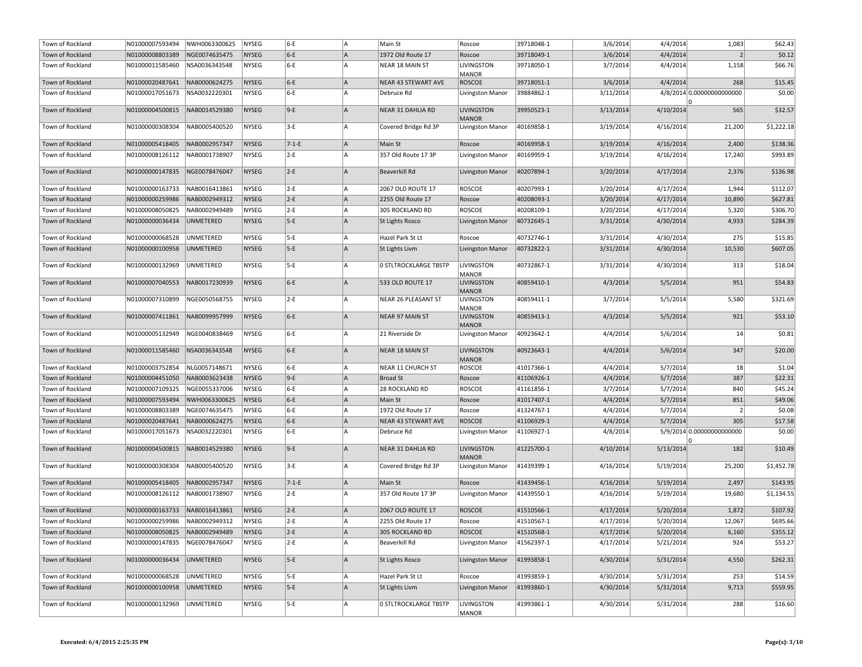| Town of Rockland | N01000007593494 | NWH0063300625    | <b>NYSEG</b> | 6-E       | lA  | Main St                      | Roscoe                            | 39718048-1 | 3/6/2014  | 4/4/2014  | 1,083                     | \$62.43    |
|------------------|-----------------|------------------|--------------|-----------|-----|------------------------------|-----------------------------------|------------|-----------|-----------|---------------------------|------------|
| Town of Rockland | N01000008803389 | NGE0074635475    | <b>NYSEG</b> | $6-E$     | A   | 1972 Old Route 17            | Roscoe                            | 39718049-1 | 3/6/2014  | 4/4/2014  | $\vert$ 2                 | \$0.12     |
| Town of Rockland | N01000011585460 | NSA0036343548    | <b>NYSEG</b> | 6-E       | ΙA  | NEAR 18 MAIN ST              | LIVINGSTON<br><b>MANOR</b>        | 39718050-1 | 3/7/2014  | 4/4/2014  | 1,158                     | \$66.76    |
| Town of Rockland | N01000020487641 | NAB0000624275    | <b>NYSEG</b> | $ 6-E $   | A   | <b>NEAR 43 STEWART AVE</b>   | <b>ROSCOE</b>                     | 39718051-1 | 3/6/2014  | 4/4/2014  | 268                       | \$15.45    |
| Town of Rockland | N01000017051673 | NSA0032220301    | <b>NYSEG</b> | 6-E       | A   | Debruce Rd                   | Livingston Manor                  | 39884862-1 | 3/11/2014 |           | 4/8/2014 0.00000000000000 | \$0.00     |
| Town of Rockland | N01000004500815 | NAB0014529380    | <b>NYSEG</b> | $9-E$     | A   | NEAR 31 DAHLIA RD            | <b>LIVINGSTON</b><br><b>MANOR</b> | 39950523-1 | 3/13/2014 | 4/10/2014 | 565                       | \$32.57    |
| Town of Rockland | N01000000308304 | NAB0005400520    | <b>NYSEG</b> | 3-E       | lA. | Covered Bridge Rd 3P         | Livingston Manor                  | 40169858-1 | 3/19/2014 | 4/16/2014 | 21,200                    | \$1,222.18 |
| Town of Rockland | N01000005418405 | NAB0002957347    | <b>NYSEG</b> | $ 7-1-E$  | lA. | Main St                      | Roscoe                            | 40169958-1 | 3/19/2014 | 4/16/2014 | 2,400                     | \$138.36   |
| Town of Rockland | N01000008126112 | NAB0001738907    | <b>NYSEG</b> | $2-E$     | A   | 357 Old Route 17 3P          | Livingston Manor                  | 40169959-1 | 3/19/2014 | 4/16/2014 | 17,240                    | \$993.89   |
| Town of Rockland | N01000000147835 | NGE0078476047    | <b>NYSEG</b> | $ 2-E $   | lA. | Beaverkill Rd                | Livingston Manor                  | 40207894-1 | 3/20/2014 | 4/17/2014 | 2,376                     | \$136.98   |
| Town of Rockland | N01000000163733 | NAB0016413861    | <b>NYSEG</b> | $2-E$     | lA. | 2067 OLD ROUTE 17            | ROSCOE                            | 40207993-1 | 3/20/2014 | 4/17/2014 | 1,944                     | \$112.07   |
| Town of Rockland | N01000000259986 | NAB0002949312    | <b>NYSEG</b> | $ 2-E $   | A   | 2255 Old Route 17            | Roscoe                            | 40208093-1 | 3/20/2014 | 4/17/2014 | 10,890                    | \$627.81   |
| Town of Rockland | N01000008050825 | NAB0002949489    | <b>NYSEG</b> | $2-E$     | ΙA  | 305 ROCKLAND RD              | ROSCOE                            | 40208109-1 | 3/20/2014 | 4/17/2014 | 5,320                     | \$306.70   |
| Town of Rockland | N01000000036434 | UNMETERED        | <b>NYSEG</b> | $5-E$     | A   | St Lights Rosco              | Livingston Manor                  | 40732645-1 | 3/31/2014 | 4/30/2014 | 4,933                     | \$284.39   |
| Town of Rockland | N01000000068528 | UNMETERED        | <b>NYSEG</b> | 5-E       | lA. | Hazel Park St Lt             | Roscoe                            | 40732746-1 | 3/31/2014 | 4/30/2014 | 275                       | \$15.85    |
| Town of Rockland | N01000000100958 | <b>UNMETERED</b> | <b>NYSEG</b> | $5-E$     | lA. | St Lights Livm               | Livingston Manor                  | 40732822-1 | 3/31/2014 | 4/30/2014 | 10,530                    | \$607.05   |
| Town of Rockland | N01000000132969 | UNMETERED        | <b>NYSEG</b> | 5-E       | lA. | <b>0 STLTROCKLARGE TBSTP</b> | LIVINGSTON<br>MANOR               | 40732867-1 | 3/31/2014 | 4/30/2014 | 313                       | \$18.04    |
| Town of Rockland | N01000007040553 | NAB0017230939    | <b>NYSEG</b> | $6-E$     | lA. | 533 OLD ROUTE 17             | <b>LIVINGSTON</b><br><b>MANOR</b> | 40859410-1 | 4/3/2014  | 5/5/2014  | 951                       | \$54.83    |
| Town of Rockland | N01000007310899 | NGE0050568755    | <b>NYSEG</b> | $2-E$     | lA. | NEAR 26 PLEASANT ST          | LIVINGSTON<br><b>MANOR</b>        | 40859411-1 | 3/7/2014  | 5/5/2014  | 5,580                     | \$321.69   |
| Town of Rockland | N01000007411861 | NAB0099957999    | <b>NYSEG</b> | $6-E$     | A   | <b>NEAR 97 MAIN ST</b>       | LIVINGSTON<br><b>MANOR</b>        | 40859413-1 | 4/3/2014  | 5/5/2014  | 921                       | \$53.10    |
| Town of Rockland | N01000005132949 | NGE0040838469    | <b>NYSEG</b> | $6-E$     | A   | 21 Riverside Dr              | Livingston Manor                  | 40923642-1 | 4/4/2014  | 5/6/2014  | 14                        | \$0.81     |
| Town of Rockland | N01000011585460 | NSA0036343548    | <b>NYSEG</b> | $ 6-E $   | A   | NEAR 18 MAIN ST              | <b>LIVINGSTON</b><br><b>MANOR</b> | 40923643-1 | 4/4/2014  | 5/6/2014  | 347                       | \$20.00    |
| Town of Rockland | N01000003752854 | NLG0057148671    | <b>NYSEG</b> | 6-E       | A   | NEAR 11 CHURCH ST            | ROSCOE                            | 41017366-1 | 4/4/2014  | 5/7/2014  | 18                        | \$1.04     |
| Town of Rockland | N01000004451050 | NAB0003623438    | <b>NYSEG</b> | $ 9-E $   | A   | <b>Broad St</b>              | Roscoe                            | 41106926-1 | 4/4/2014  | 5/7/2014  | 387                       | \$22.31    |
| Town of Rockland | N01000007109325 | NGE0055337006    | <b>NYSEG</b> | 6-E       |     | <b>28 ROCKLAND RD</b>        | <b>ROSCOE</b>                     | 41161856-1 | 3/7/2014  | 5/7/2014  | 840                       | \$45.24    |
| Town of Rockland | N01000007593494 | NWH0063300625    | <b>NYSEG</b> | $ 6-E $   | A   | Main St                      | Roscoe                            | 41017407-1 | 4/4/2014  | 5/7/2014  | 851                       | \$49.06    |
| Town of Rockland | N01000008803389 | NGE0074635475    | <b>NYSEG</b> | 6-E       | ۱A  | 1972 Old Route 17            | Roscoe                            | 41324767-1 | 4/4/2014  | 5/7/2014  | $\overline{2}$            | \$0.08     |
| Town of Rockland | N01000020487641 | NAB0000624275    | <b>NYSEG</b> | $6-E$     | lA  | NEAR 43 STEWART AVE          | <b>ROSCOE</b>                     | 41106929-1 | 4/4/2014  | 5/7/2014  | 305                       | \$17.58    |
| Town of Rockland | N01000017051673 | NSA0032220301    | <b>NYSEG</b> | 6-E       | A   | Debruce Rd                   | Livingston Manor                  | 41106927-1 | 4/8/2014  |           | 5/9/2014 0.00000000000000 | \$0.00     |
| Town of Rockland | N01000004500815 | NAB0014529380    | <b>NYSEG</b> | $ 9-E $   | A   | NEAR 31 DAHLIA RD            | <b>LIVINGSTON</b><br><b>MANOR</b> | 41225700-1 | 4/10/2014 | 5/13/2014 | 182                       | \$10.49    |
| Town of Rockland | N01000000308304 | NAB0005400520    | <b>NYSEG</b> | 3-E       | lA. | Covered Bridge Rd 3P         | Livingston Manor                  | 41439399-1 | 4/16/2014 | 5/19/2014 | 25,200                    | \$1,452.78 |
| Town of Rockland | N01000005418405 | NAB0002957347    | <b>NYSEG</b> | $ 7-1-E $ | A   | Main St                      | Roscoe                            | 41439456-1 | 4/16/2014 | 5/19/2014 | 2,497                     | \$143.95   |
| Town of Rockland | N01000008126112 | NAB0001738907    | <b>NYSEG</b> | 2-E       |     | 357 Old Route 17 3P          | Livingston Manor                  | 41439550-1 | 4/16/2014 | 5/19/2014 | 19,680                    | \$1,134.55 |
| Town of Rockland | N01000000163733 | NAB0016413861    | <b>NYSEG</b> | $ 2-E $   | A   | <b>2067 OLD ROUTE 17</b>     | <b>ROSCOE</b>                     | 41510566-1 | 4/17/2014 | 5/20/2014 | 1,872                     | \$107.92   |
| Town of Rockland | N01000000259986 | NAB0002949312    | <b>NYSEG</b> | $2-E$     |     | 2255 Old Route 17            | Roscoe                            | 41510567-1 | 4/17/2014 | 5/20/2014 | 12,067                    | \$695.66   |
| Town of Rockland | N01000008050825 | NAB0002949489    | <b>NYSEG</b> | $ 2-E $   | A   | 305 ROCKLAND RD              | <b>ROSCOE</b>                     | 41510568-1 | 4/17/2014 | 5/20/2014 | 6,160                     | \$355.12   |
| Town of Rockland | N01000000147835 | NGE0078476047    | <b>NYSEG</b> | 2-E       | A   | Beaverkill Rd                | Livingston Manor                  | 41562397-1 | 4/17/2014 | 5/21/2014 | 924                       | \$53.27    |
| Town of Rockland | N01000000036434 | UNMETERED        | <b>NYSEG</b> | $5-E$     | A   | St Lights Rosco              | Livingston Manor                  | 41993858-1 | 4/30/2014 | 5/31/2014 | 4,550                     | \$262.31   |
| Town of Rockland | N01000000068528 | UNMETERED        | <b>NYSEG</b> | 5-E       | A   | Hazel Park St Lt             | Roscoe                            | 41993859-1 | 4/30/2014 | 5/31/2014 | 253                       | \$14.59    |
| Town of Rockland | N01000000100958 | UNMETERED        | <b>NYSEG</b> | $5-E$     | A   | St Lights Livm               | Livingston Manor                  | 41993860-1 | 4/30/2014 | 5/31/2014 | 9,713                     | \$559.95   |
| Town of Rockland | N01000000132969 | UNMETERED        | <b>NYSEG</b> | 5-E       | A.  | <b>0 STLTROCKLARGE TBSTP</b> | LIVINGSTON<br><b>MANOR</b>        | 41993861-1 | 4/30/2014 | 5/31/2014 | 288                       | \$16.60    |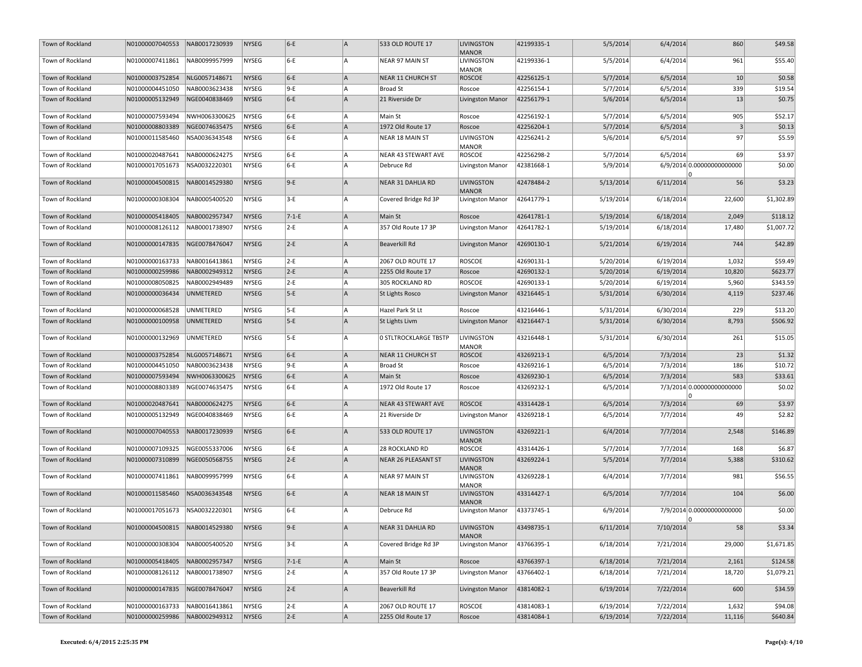| Town of Rockland | N01000007040553               | NAB0017230939    | <b>NYSEG</b> | 6-E       | lA. | 533 OLD ROUTE 17             | LIVINGSTON<br><b>MANOR</b> | 42199335-1 | 5/5/2014  | 6/4/2014  | 860                       | \$49.58    |
|------------------|-------------------------------|------------------|--------------|-----------|-----|------------------------------|----------------------------|------------|-----------|-----------|---------------------------|------------|
| Town of Rockland | N01000007411861               | NAB0099957999    | <b>NYSEG</b> | $6-E$     | A   | NEAR 97 MAIN ST              | LIVINGSTON<br><b>MANOR</b> | 42199336-1 | 5/5/2014  | 6/4/2014  | 961                       | \$55.40    |
| Town of Rockland | N01000003752854               | NLG0057148671    | <b>NYSEG</b> | 6-E       | A   | NEAR 11 CHURCH ST            | <b>ROSCOE</b>              | 42256125-1 | 5/7/2014  | 6/5/2014  | 10                        | \$0.58     |
| Town of Rockland | N01000004451050               | NAB0003623438    | NYSEG        | 9-E       |     | <b>Broad St</b>              | Roscoe                     | 42256154-1 | 5/7/2014  | 6/5/2014  | 339                       | \$19.54    |
| Town of Rockland | N01000005132949               | NGE0040838469    | <b>NYSEG</b> | 6-E       | A   | 21 Riverside Dr              | Livingston Manor           | 42256179-1 | 5/6/2014  | 6/5/2014  | 13                        | \$0.75     |
| Town of Rockland | N01000007593494               | NWH0063300625    | <b>NYSEG</b> | 6-E       | A   | Main St                      | Roscoe                     | 42256192-1 | 5/7/2014  | 6/5/2014  | 905                       | \$52.17    |
| Town of Rockland | N01000008803389               | NGE0074635475    | <b>NYSEG</b> | 6-E       | A   | 1972 Old Route 17            | Roscoe                     | 42256204-1 | 5/7/2014  | 6/5/2014  | $\overline{3}$            | \$0.13     |
| Town of Rockland | N01000011585460               | NSA0036343548    | NYSEG        | 6-E       | A   | NEAR 18 MAIN ST              | LIVINGSTON<br>MANOR        | 42256241-2 | 5/6/2014  | 6/5/2014  | 97                        | \$5.59     |
| Town of Rockland | N01000020487641               | NAB0000624275    | NYSEG        | 6-E       | A   | NEAR 43 STEWART AVE          | ROSCOE                     | 42256298-2 | 5/7/2014  | 6/5/2014  | 69                        | \$3.97     |
| Town of Rockland | N01000017051673               | NSA0032220301    | NYSEG        | 6-E       |     | Debruce Rd                   | Livingston Manor           | 42381668-1 | 5/9/2014  |           | 6/9/2014 0.00000000000000 | \$0.00     |
| Town of Rockland | N01000004500815               | NAB0014529380    | <b>NYSEG</b> | $9-E$     | A   | NEAR 31 DAHLIA RD            | LIVINGSTON<br><b>MANOR</b> | 42478484-2 | 5/13/2014 | 6/11/2014 | 56                        | \$3.23     |
| Town of Rockland | N01000000308304               | NAB0005400520    | NYSEG        | $3-E$     | ۱A  | Covered Bridge Rd 3P         | Livingston Manor           | 42641779-1 | 5/19/2014 | 6/18/2014 | 22,600                    | \$1,302.89 |
| Town of Rockland | N01000005418405               | NAB0002957347    | <b>NYSEG</b> | $ 7-1-E$  | A   | Main St                      | Roscoe                     | 42641781-1 | 5/19/2014 | 6/18/2014 | 2,049                     | \$118.12   |
| Town of Rockland | N01000008126112               | NAB0001738907    | <b>NYSEG</b> | 2-E       | A   | 357 Old Route 17 3P          | Livingston Manor           | 42641782-1 | 5/19/2014 | 6/18/2014 | 17,480                    | \$1,007.72 |
| Town of Rockland | N01000000147835               | NGE0078476047    | <b>NYSEG</b> | $ 2-E $   | A   | Beaverkill Rd                | Livingston Manor           | 42690130-1 | 5/21/2014 | 6/19/2014 | 744                       | \$42.89    |
| Town of Rockland | N01000000163733               | NAB0016413861    | NYSEG        | $ 2-E$    | A   | 2067 OLD ROUTE 17            | ROSCOE                     | 42690131-1 | 5/20/2014 | 6/19/2014 | 1,032                     | \$59.49    |
| Town of Rockland | N01000000259986               | NAB0002949312    | <b>NYSEG</b> | $ 2-E $   | A   | 2255 Old Route 17            | Roscoe                     | 42690132-1 | 5/20/2014 | 6/19/2014 | 10,820                    | \$623.77   |
| Town of Rockland | N01000008050825               | NAB0002949489    | <b>NYSEG</b> | $ 2-E$    | A   | 305 ROCKLAND RD              | ROSCOE                     | 42690133-1 | 5/20/2014 | 6/19/2014 | 5,960                     | \$343.59   |
| Town of Rockland | N01000000036434               | <b>UNMETERED</b> | <b>NYSEG</b> | 5-E       | A   | <b>St Lights Rosco</b>       | Livingston Manor           | 43216445-1 | 5/31/2014 | 6/30/2014 | 4,119                     | \$237.46   |
| Town of Rockland | N01000000068528               | UNMETERED        | NYSEG        | 5-E       | A   | Hazel Park St Lt             | Roscoe                     | 43216446-1 | 5/31/2014 | 6/30/2014 | 229                       | \$13.20    |
| Town of Rockland | N01000000100958               | <b>UNMETERED</b> | <b>NYSEG</b> | $5-E$     | A   | <b>St Lights Livm</b>        | Livingston Manor           | 43216447-1 | 5/31/2014 | 6/30/2014 | 8,793                     | \$506.92   |
| Town of Rockland | N01000000132969               | <b>UNMETERED</b> | <b>NYSEG</b> | 5-E       | A   | <b>0 STLTROCKLARGE TBSTP</b> | LIVINGSTON<br><b>MANOR</b> | 43216448-1 | 5/31/2014 | 6/30/2014 | 261                       | \$15.05    |
| Town of Rockland | N01000003752854               | NLG0057148671    | <b>NYSEG</b> | 6-E       | lA. | NEAR 11 CHURCH ST            | <b>ROSCOE</b>              | 43269213-1 | 6/5/2014  | 7/3/2014  | 23                        | \$1.32     |
| Town of Rockland | N01000004451050               | NAB0003623438    | NYSEG        | 9-E       | A   | <b>Broad St</b>              | Roscoe                     | 43269216-1 | 6/5/2014  | 7/3/2014  | 186                       | \$10.72    |
| Town of Rockland | N01000007593494               | NWH0063300625    | <b>NYSEG</b> | 6-E       | A   | Main St                      | Roscoe                     | 43269230-1 | 6/5/2014  | 7/3/2014  | 583                       | \$33.61    |
| Town of Rockland | N01000008803389               | NGE0074635475    | NYSEG        | 6-E       | A   | 1972 Old Route 17            | Roscoe                     | 43269232-1 | 6/5/2014  |           | 7/3/2014 0.00000000000000 | \$0.02     |
| Town of Rockland | N01000020487641               | NAB0000624275    | <b>NYSEG</b> | $ 6-E $   | A   | NEAR 43 STEWART AVE          | <b>ROSCOE</b>              | 43314428-1 | 6/5/2014  | 7/3/2014  | 69                        | \$3.97     |
| Town of Rockland | N01000005132949               | NGE0040838469    | NYSEG        | $6-E$     | A   | 21 Riverside Dr              | Livingston Manor           | 43269218-1 | 6/5/2014  | 7/7/2014  | 49                        | \$2.82     |
| Town of Rockland | N01000007040553               | NAB0017230939    | <b>NYSEG</b> | 6-E       | A   | 533 OLD ROUTE 17             | LIVINGSTON<br><b>MANOR</b> | 43269221-1 | 6/4/2014  | 7/7/2014  | 2,548                     | \$146.89   |
| Town of Rockland | N01000007109325               | NGE0055337006    | NYSEG        | 6-E       | A   | <b>28 ROCKLAND RD</b>        | ROSCOE                     | 43314426-1 | 5/7/2014  | 7/7/2014  | 168                       | \$6.87     |
| Town of Rockland | N01000007310899               | NGE0050568755    | <b>NYSEG</b> | $ 2-E $   | A   | NEAR 26 PLEASANT ST          | LIVINGSTON<br><b>MANOR</b> | 43269224-1 | 5/5/2014  | 7/7/2014  | 5,388                     | \$310.62   |
| Town of Rockland | N01000007411861               | NAB0099957999    | NYSEG        | $6-E$     | A   | NEAR 97 MAIN ST              | LIVINGSTON<br><b>MANOR</b> | 43269228-1 | 6/4/2014  | 7/7/2014  | 981                       | \$56.55    |
| Town of Rockland | N01000011585460               | NSA0036343548    | <b>NYSEG</b> | 6-E       | A.  | NEAR 18 MAIN ST              | LIVINGSTON<br><b>MANOR</b> | 43314427-1 | 6/5/2014  | 7/7/2014  | 104                       | \$6.00     |
| Town of Rockland | N01000017051673               | NSA0032220301    | NYSEG        | $6-E$     |     | Debruce Rd                   | Livingston Manor           | 43373745-1 | 6/9/2014  |           | 7/9/2014 0.00000000000000 | \$0.00     |
| Town of Rockland | N01000004500815 NAB0014529380 |                  | NYSEG        | 9-E       |     | NEAR 31 DAHLIA RD            | LIVINGSTON<br><b>MANOR</b> | 43498735-1 | 6/11/2014 | 7/10/2014 | 58                        | \$3.34     |
| Town of Rockland | N01000000308304               | NAB0005400520    | <b>NYSEG</b> | 3-E       | A   | Covered Bridge Rd 3P         | Livingston Manor           | 43766395-1 | 6/18/2014 | 7/21/2014 | 29,000                    | \$1,671.85 |
| Town of Rockland | N01000005418405               | NAB0002957347    | <b>NYSEG</b> | $ 7-1-E $ | A   | Main St                      | Roscoe                     | 43766397-1 | 6/18/2014 | 7/21/2014 | 2,161                     | \$124.58   |
| Town of Rockland | N01000008126112               | NAB0001738907    | <b>NYSEG</b> | 2-E       |     | 357 Old Route 17 3P          | Livingston Manor           | 43766402-1 | 6/18/2014 | 7/21/2014 | 18,720                    | \$1,079.21 |
| Town of Rockland | N01000000147835               | NGE0078476047    | <b>NYSEG</b> | $ 2-E $   | A   | Beaverkill Rd                | Livingston Manor           | 43814082-1 | 6/19/2014 | 7/22/2014 | 600                       | \$34.59    |
| Town of Rockland | N01000000163733               | NAB0016413861    | <b>NYSEG</b> | $ 2-E $   | A   | 2067 OLD ROUTE 17            | ROSCOE                     | 43814083-1 | 6/19/2014 | 7/22/2014 | 1,632                     | \$94.08    |
| Town of Rockland | N01000000259986               | NAB0002949312    | <b>NYSEG</b> | $ 2-E $   | A   | 2255 Old Route 17            | Roscoe                     | 43814084-1 | 6/19/2014 | 7/22/2014 | 11,116                    | \$640.84   |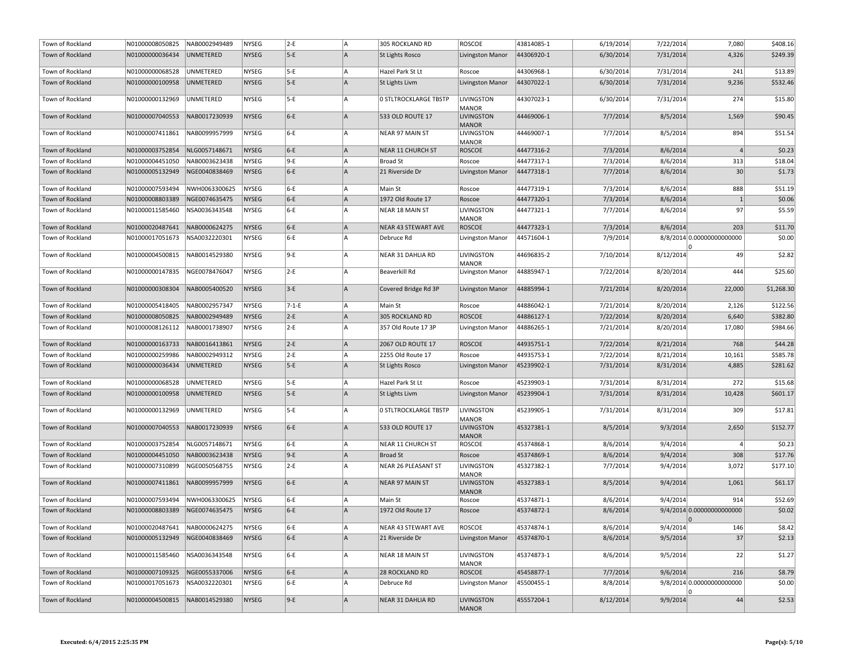| Town of Rockland | N01000008050825               | NAB0002949489    | <b>NYSEG</b> | $2-E$   | lA  | 305 ROCKLAND RD              | <b>ROSCOE</b>                     | 43814085-1 | 6/19/2014 | 7/22/2014 | 7,080                     | \$408.16   |
|------------------|-------------------------------|------------------|--------------|---------|-----|------------------------------|-----------------------------------|------------|-----------|-----------|---------------------------|------------|
| Town of Rockland | N01000000036434               | <b>UNMETERED</b> | <b>NYSEG</b> | $5-E$   | lA  | St Lights Rosco              | Livingston Manor                  | 44306920-1 | 6/30/2014 | 7/31/2014 | 4,326                     | \$249.39   |
| Town of Rockland | N01000000068528               | <b>UNMETERED</b> | <b>NYSEG</b> | 5-E     | lA  | Hazel Park St Lt             | Roscoe                            | 44306968-1 | 6/30/2014 | 7/31/2014 | 241                       | \$13.89    |
| Town of Rockland | N01000000100958               | <b>UNMETERED</b> | <b>NYSEG</b> | $5-E$   | A   | St Lights Livm               | Livingston Manor                  | 44307022-1 | 6/30/2014 | 7/31/2014 | 9,236                     | \$532.46   |
| Town of Rockland | N01000000132969               | UNMETERED        | <b>NYSEG</b> | $5-E$   | A   | <b>0 STLTROCKLARGE TBSTP</b> | LIVINGSTON<br><b>MANOR</b>        | 44307023-1 | 6/30/2014 | 7/31/2014 | 274                       | \$15.80    |
| Town of Rockland | N01000007040553               | NAB0017230939    | <b>NYSEG</b> | $ 6-E $ | A   | 533 OLD ROUTE 17             | <b>LIVINGSTON</b><br><b>MANOR</b> | 44469006-1 | 7/7/2014  | 8/5/2014  | 1,569                     | \$90.45    |
| Town of Rockland | N01000007411861               | NAB0099957999    | <b>NYSEG</b> | $6-E$   | lA. | NEAR 97 MAIN ST              | LIVINGSTON<br><b>MANOR</b>        | 44469007-1 | 7/7/2014  | 8/5/2014  | 894                       | \$51.54    |
| Town of Rockland | N01000003752854               | NLG0057148671    | <b>NYSEG</b> | $6-E$   | A   | NEAR 11 CHURCH ST            | <b>ROSCOE</b>                     | 44477316-2 | 7/3/2014  | 8/6/2014  | $\overline{4}$            | \$0.23     |
| Town of Rockland | N01000004451050               | NAB0003623438    | NYSEG        | 9-E     |     | <b>Broad St</b>              | Roscoe                            | 44477317-1 | 7/3/2014  | 8/6/2014  | 313                       | \$18.04    |
| Town of Rockland | N01000005132949               | NGE0040838469    | <b>NYSEG</b> | $6-E$   | lA. | 21 Riverside Dr              | Livingston Manor                  | 44477318-1 | 7/7/2014  | 8/6/2014  | 30                        | \$1.73     |
| Town of Rockland | N01000007593494               | NWH0063300625    | <b>NYSEG</b> | 6-E     | A   | Main St                      | Roscoe                            | 44477319-1 | 7/3/2014  | 8/6/2014  | 888                       | \$51.19    |
| Town of Rockland | N01000008803389               | NGE0074635475    | <b>NYSEG</b> | $6-E$   | A   | 1972 Old Route 17            | Roscoe                            | 44477320-1 | 7/3/2014  | 8/6/2014  | $\mathbf{1}$              | \$0.06     |
| Town of Rockland | N01000011585460               | NSA0036343548    | NYSEG        | 6-E     | A   | NEAR 18 MAIN ST              | LIVINGSTON<br>MANOR               | 44477321-1 | 7/7/2014  | 8/6/2014  | 97                        | \$5.59     |
| Town of Rockland | N01000020487641               | NAB0000624275    | <b>NYSEG</b> | $ 6-E $ | lA. | NEAR 43 STEWART AVE          | <b>ROSCOE</b>                     | 44477323-1 | 7/3/2014  | 8/6/2014  | 203                       | \$11.70    |
| Town of Rockland | N01000017051673               | NSA0032220301    | NYSEG        | $6-E$   | A   | Debruce Rd                   | Livingston Manor                  | 44571604-1 | 7/9/2014  |           | 8/8/2014 0.00000000000000 | \$0.00     |
| Town of Rockland | N01000004500815               | NAB0014529380    | <b>NYSEG</b> | $9-E$   | A   | NEAR 31 DAHLIA RD            | LIVINGSTON<br>MANOR               | 44696835-2 | 7/10/2014 | 8/12/2014 | 49                        | \$2.82     |
| Town of Rockland | N01000000147835               | NGE0078476047    | <b>NYSEG</b> | $2-E$   | A   | Beaverkill Rd                | Livingston Manor                  | 44885947-1 | 7/22/2014 | 8/20/2014 | 444                       | \$25.60    |
| Town of Rockland | N01000000308304               | NAB0005400520    | <b>NYSEG</b> | $3-E$   | lA  | Covered Bridge Rd 3P         | <b>Livingston Manor</b>           | 44885994-1 | 7/21/2014 | 8/20/2014 | 22,000                    | \$1,268.30 |
| Town of Rockland | N01000005418405               | NAB0002957347    | <b>NYSEG</b> | $7-1-E$ | lA. | Main St                      | Roscoe                            | 44886042-1 | 7/21/2014 | 8/20/2014 | 2,126                     | \$122.56   |
| Town of Rockland | N01000008050825               | NAB0002949489    | <b>NYSEG</b> | $ 2-E $ | lA  | 305 ROCKLAND RD              | <b>ROSCOE</b>                     | 44886127-1 | 7/22/2014 | 8/20/2014 | 6,640                     | \$382.80   |
| Town of Rockland | N01000008126112               | NAB0001738907    | NYSEG        | $2-E$   | A   | 357 Old Route 17 3P          | Livingston Manor                  | 44886265-1 | 7/21/2014 | 8/20/2014 | 17,080                    | \$984.66   |
| Town of Rockland | N01000000163733               | NAB0016413861    | <b>NYSEG</b> | $ 2-E $ | A   | <b>2067 OLD ROUTE 17</b>     | <b>ROSCOE</b>                     | 44935751-1 | 7/22/2014 | 8/21/2014 | 768                       | \$44.28    |
| Town of Rockland | N01000000259986               | NAB0002949312    | <b>NYSEG</b> | $2-E$   | lA. | 2255 Old Route 17            | Roscoe                            | 44935753-1 | 7/22/2014 | 8/21/2014 | 10,161                    | \$585.78   |
| Town of Rockland | N01000000036434               | <b>UNMETERED</b> | <b>NYSEG</b> | 5-E     | A   | St Lights Rosco              | Livingston Manor                  | 45239902-1 | 7/31/2014 | 8/31/2014 | 4,885                     | \$281.62   |
| Town of Rockland | N01000000068528               | <b>UNMETERED</b> | <b>NYSEG</b> | 5-E     | lA. | Hazel Park St Lt             | Roscoe                            | 45239903-1 | 7/31/2014 | 8/31/2014 | 272                       | \$15.68    |
| Town of Rockland | N01000000100958               | <b>UNMETERED</b> | <b>NYSEG</b> | 5-E     | A   | St Lights Livm               | Livingston Manor                  | 45239904-1 | 7/31/2014 | 8/31/2014 | 10,428                    | \$601.17   |
| Town of Rockland | N01000000132969               | <b>UNMETERED</b> | <b>NYSEG</b> | 5-E     | lA. | <b>0 STLTROCKLARGE TBSTP</b> | LIVINGSTON<br>MANOR               | 45239905-1 | 7/31/2014 | 8/31/2014 | 309                       | \$17.81    |
| Town of Rockland | N01000007040553               | NAB0017230939    | <b>NYSEG</b> | $6-E$   | A   | 533 OLD ROUTE 17             | LIVINGSTON<br><b>MANOR</b>        | 45327381-1 | 8/5/2014  | 9/3/2014  | 2,650                     | \$152.77   |
| Town of Rockland | N01000003752854               | NLG0057148671    | <b>NYSEG</b> | 6-E     | ΙA  | NEAR 11 CHURCH ST            | <b>ROSCOE</b>                     | 45374868-1 | 8/6/2014  | 9/4/2014  | $\overline{a}$            | \$0.23     |
| Town of Rockland | N01000004451050               | NAB0003623438    | <b>NYSEG</b> | $9-E$   | A   | <b>Broad St</b>              | Roscoe                            | 45374869-1 | 8/6/2014  | 9/4/2014  | 308                       | \$17.76    |
| Town of Rockland | N01000007310899               | NGE0050568755    | <b>NYSEG</b> | $2-E$   | lA. | NEAR 26 PLEASANT ST          | LIVINGSTON<br><b>MANOR</b>        | 45327382-1 | 7/7/2014  | 9/4/2014  | 3,072                     | \$177.10   |
| Town of Rockland | N01000007411861               | NAB0099957999    | <b>NYSEG</b> | $6-E$   | A   | NEAR 97 MAIN ST              | LIVINGSTON<br><b>MANOR</b>        | 45327383-1 | 8/5/2014  | 9/4/2014  | 1,061                     | \$61.17    |
| Town of Rockland | N01000007593494               | NWH0063300625    | <b>NYSEG</b> | $6-E$   | lA  | Main St                      | Roscoe                            | 45374871-1 | 8/6/2014  | 9/4/2014  | 914                       | \$52.69    |
| Town of Rockland | N01000008803389               | NGE0074635475    | <b>NYSEG</b> | $6-E$   | A   | 1972 Old Route 17            | Roscoe                            | 45374872-1 | 8/6/2014  |           | 9/4/2014 0.00000000000000 | \$0.02     |
| Town of Rockland | N01000020487641 NAB0000624275 |                  | NYSEG        | 6-E     |     | NEAR 43 STEWART AVE          | ROSCOE                            | 45374874-1 | 8/6/2014  | 9/4/2014  | 146                       | \$8.42     |
| Town of Rockland | N01000005132949               | NGE0040838469    | <b>NYSEG</b> | $6-E$   | A   | 21 Riverside Dr              | Livingston Manor                  | 45374870-1 | 8/6/2014  | 9/5/2014  | 37                        | \$2.13     |
| Town of Rockland | N01000011585460               | NSA0036343548    | NYSEG        | $6-E$   | lA. | NEAR 18 MAIN ST              | LIVINGSTON<br><b>MANOR</b>        | 45374873-1 | 8/6/2014  | 9/5/2014  | 22                        | \$1.27     |
| Town of Rockland | N01000007109325               | NGE0055337006    | <b>NYSEG</b> | $ 6-E $ | A   | 28 ROCKLAND RD               | ROSCOE                            | 45458877-1 | 7/7/2014  | 9/6/2014  | 216                       | \$8.79     |
| Town of Rockland | N01000017051673               | NSA0032220301    | NYSEG        | 6-E     | A   | Debruce Rd                   | Livingston Manor                  | 45500455-1 | 8/8/2014  |           | 9/8/2014 0.00000000000000 | \$0.00     |
| Town of Rockland | N01000004500815               | NAB0014529380    | <b>NYSEG</b> | $9-E$   | A   | NEAR 31 DAHLIA RD            | <b>LIVINGSTON</b><br>MANOR        | 45557204-1 | 8/12/2014 | 9/9/2014  | 44                        | \$2.53     |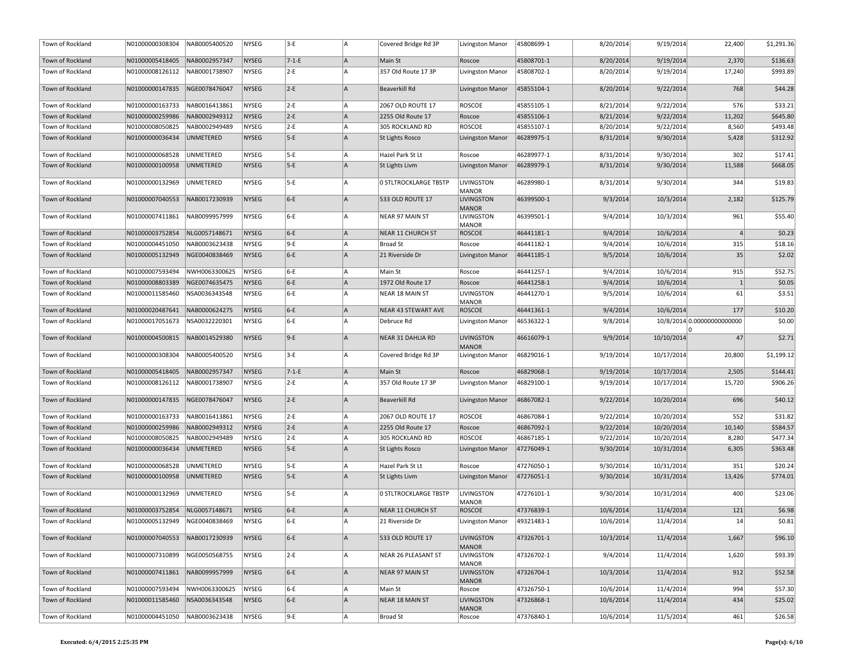| Town of Rockland | N01000000308304 | NAB0005400520    | NYSEG        | $3-E$   | ÌА. | Covered Bridge Rd 3P         | Livingston Manor                  | 45808699-1 | 8/20/2014 | 9/19/2014  | 22,400                     | \$1,291.36 |
|------------------|-----------------|------------------|--------------|---------|-----|------------------------------|-----------------------------------|------------|-----------|------------|----------------------------|------------|
| Town of Rockland | N01000005418405 | NAB0002957347    | <b>NYSEG</b> | $7-1-E$ | A   | Main St                      | Roscoe                            | 45808701-1 | 8/20/2014 | 9/19/2014  | 2,370                      | \$136.63   |
| Town of Rockland | N01000008126112 | NAB0001738907    | <b>NYSEG</b> | 2-E     | lA  | 357 Old Route 17 3P          | Livingston Manor                  | 45808702-1 | 8/20/2014 | 9/19/2014  | 17,240                     | \$993.89   |
| Town of Rockland | N01000000147835 | NGE0078476047    | <b>NYSEG</b> | $ 2-E $ | lA. | Beaverkill Rd                | Livingston Manor                  | 45855104-1 | 8/20/2014 | 9/22/2014  | 768                        | \$44.28    |
| Town of Rockland | N01000000163733 | NAB0016413861    | <b>NYSEG</b> | 2-E     | lA. | <b>2067 OLD ROUTE 17</b>     | <b>ROSCOE</b>                     | 45855105-1 | 8/21/2014 | 9/22/2014  | 576                        | \$33.21    |
| Town of Rockland | N01000000259986 | NAB0002949312    | <b>NYSEG</b> | $ 2-E $ | A   | 2255 Old Route 17            | Roscoe                            | 45855106-1 | 8/21/2014 | 9/22/2014  | 11,202                     | \$645.80   |
| Town of Rockland | N01000008050825 | NAB0002949489    | NYSEG        | 2-E     | lA  | 305 ROCKLAND RD              | <b>ROSCOE</b>                     | 45855107-1 | 8/20/2014 | 9/22/2014  | 8,560                      | \$493.48   |
| Town of Rockland | N01000000036434 | UNMETERED        | <b>NYSEG</b> | 5-E     | lA  | St Lights Rosco              | Livingston Manor                  | 46289975-1 | 8/31/2014 | 9/30/2014  | 5,428                      | \$312.92   |
| Town of Rockland | N01000000068528 | UNMETERED        | NYSEG        | $5-E$   | A   | Hazel Park St Lt             | Roscoe                            | 46289977-1 | 8/31/2014 | 9/30/2014  | 302                        | \$17.41    |
| Town of Rockland | N01000000100958 | <b>UNMETERED</b> | <b>NYSEG</b> | 5-E     | lA  | St Lights Livm               | <b>Livingston Manor</b>           | 46289979-1 | 8/31/2014 | 9/30/2014  | 11,588                     | \$668.05   |
| Town of Rockland | N01000000132969 | UNMETERED        | <b>NYSEG</b> | 5-E     | lA. | <b>0 STLTROCKLARGE TBSTP</b> | LIVINGSTON                        | 46289980-1 | 8/31/2014 | 9/30/2014  | 344                        | \$19.83    |
|                  |                 |                  |              |         |     |                              | <b>MANOR</b>                      |            |           |            |                            |            |
| Town of Rockland | N01000007040553 | NAB0017230939    | <b>NYSEG</b> | 6-E     | A   | 533 OLD ROUTE 17             | <b>LIVINGSTON</b><br><b>MANOR</b> | 46399500-1 | 9/3/2014  | 10/3/2014  | 2,182                      | \$125.79   |
| Town of Rockland | N01000007411861 | NAB0099957999    | <b>NYSEG</b> | 6-E     | lA. | NEAR 97 MAIN ST              | <b>LIVINGSTON</b><br><b>MANOR</b> | 46399501-1 | 9/4/2014  | 10/3/2014  | 961                        | \$55.40    |
| Town of Rockland | N01000003752854 | NLG0057148671    | <b>NYSEG</b> | $ 6-E $ | A   | NEAR 11 CHURCH ST            | <b>ROSCOE</b>                     | 46441181-1 | 9/4/2014  | 10/6/2014  | $\vert$                    | \$0.23     |
| Town of Rockland | N01000004451050 | NAB0003623438    | <b>NYSEG</b> | 9-E     | lA  | <b>Broad St</b>              | Roscoe                            | 46441182-1 | 9/4/2014  | 10/6/2014  | 315                        | \$18.16    |
| Town of Rockland | N01000005132949 | NGE0040838469    | <b>NYSEG</b> | $6-E$   | A   | 21 Riverside Dr              | Livingston Manor                  | 46441185-1 | 9/5/2014  | 10/6/2014  | 35                         | \$2.02     |
| Town of Rockland | N01000007593494 | NWH0063300625    | <b>NYSEG</b> | 6-E     | lA  | Main St                      | Roscoe                            | 46441257-1 | 9/4/2014  | 10/6/2014  | 915                        | \$52.75    |
| Town of Rockland | N01000008803389 | NGE0074635475    | <b>NYSEG</b> | 6-E     | A   | 1972 Old Route 17            | Roscoe                            | 46441258-1 | 9/4/2014  | 10/6/2014  | 1                          | \$0.05     |
| Town of Rockland | N01000011585460 | NSA0036343548    | <b>NYSEG</b> | 6-E     | lA. | NEAR 18 MAIN ST              | LIVINGSTON<br><b>MANOR</b>        | 46441270-1 | 9/5/2014  | 10/6/2014  | 61                         | \$3.51     |
| Town of Rockland | N01000020487641 | NAB0000624275    | <b>NYSEG</b> | $6-E$   | lA. | <b>NEAR 43 STEWART AVE</b>   | <b>ROSCOE</b>                     | 46441361-1 | 9/4/2014  | 10/6/2014  | 177                        | \$10.20    |
| Town of Rockland | N01000017051673 | NSA0032220301    | <b>NYSEG</b> | 6-E     | lA  | Debruce Rd                   | Livingston Manor                  | 46536322-1 | 9/8/2014  |            | 10/8/2014 0.00000000000000 | \$0.00     |
| Town of Rockland | N01000004500815 | NAB0014529380    | <b>NYSEG</b> | $9-E$   | lA. | NEAR 31 DAHLIA RD            | <b>LIVINGSTON</b><br><b>MANOR</b> | 46616079-1 | 9/9/2014  | 10/10/2014 | 47                         | \$2.71     |
| Town of Rockland | N01000000308304 | NAB0005400520    | <b>NYSEG</b> | 3-E     | la. | Covered Bridge Rd 3P         | Livingston Manor                  | 46829016-1 | 9/19/2014 | 10/17/2014 | 20,800                     | \$1,199.12 |
| Town of Rockland | N01000005418405 | NAB0002957347    | NYSEG        | $7-1-E$ | lA. | Main St                      | Roscoe                            | 46829068-1 | 9/19/2014 | 10/17/2014 | 2,505                      | \$144.41   |
| Town of Rockland | N01000008126112 | NAB0001738907    | <b>NYSEG</b> | $2-E$   | A   | 357 Old Route 17 3P          | Livingston Manor                  | 46829100-1 | 9/19/2014 | 10/17/2014 | 15,720                     | \$906.26   |
| Town of Rockland | N01000000147835 | NGE0078476047    | <b>NYSEG</b> | $2-E$   | lA. | Beaverkill Rd                | Livingston Manor                  | 46867082-1 | 9/22/2014 | 10/20/2014 | 696                        | \$40.12    |
| Town of Rockland | N01000000163733 | NAB0016413861    | NYSEG        | $ 2-E $ | A   | 2067 OLD ROUTE 17            | <b>ROSCOE</b>                     | 46867084-1 | 9/22/2014 | 10/20/2014 | 552                        | \$31.82    |
| Town of Rockland | N01000000259986 | NAB0002949312    | <b>NYSEG</b> | $2-E$   | lA  | 2255 Old Route 17            | Roscoe                            | 46867092-1 | 9/22/2014 | 10/20/2014 | 10,140                     | \$584.57   |
| Town of Rockland | N01000008050825 | NAB0002949489    | <b>NYSEG</b> | 2-E     | A   | 305 ROCKLAND RD              | <b>ROSCOE</b>                     | 46867185-1 | 9/22/2014 | 10/20/2014 | 8,280                      | \$477.34   |
| Town of Rockland | N01000000036434 | UNMETERED        | <b>NYSEG</b> | $5-E$   | A   | St Lights Rosco              | Livingston Manor                  | 47276049-1 | 9/30/2014 | 10/31/2014 | 6,305                      | \$363.48   |
| Town of Rockland | N01000000068528 | UNMETERED        | <b>NYSEG</b> | 5-E     | A   | Hazel Park St Lt             | Roscoe                            | 47276050-1 | 9/30/2014 | 10/31/2014 | 351                        | \$20.24    |
| Town of Rockland | N01000000100958 | UNMETERED        | <b>NYSEG</b> | $5-E$   | A   | St Lights Livm               | Livingston Manor                  | 47276051-1 | 9/30/2014 | 10/31/2014 | 13,426                     | \$774.01   |
| Town of Rockland | N01000000132969 | UNMETERED        | NYSEG        | 5-E     | la. | <b>0 STLTROCKLARGE TBSTP</b> | LIVINGSTON<br><b>MANOR</b>        | 47276101-1 | 9/30/2014 | 10/31/2014 | 400                        | \$23.06    |
| Town of Rockland | N01000003752854 | NLG0057148671    | <b>NYSEG</b> | $6-E$   | lA  | <b>NEAR 11 CHURCH ST</b>     | <b>ROSCOE</b>                     | 47376839-1 | 10/6/2014 | 11/4/2014  | 121                        | \$6.98     |
| Town of Rockland | N01000005132949 | NGE0040838469    | NYSEG        | 6-E     | A   | 21 Riverside Dr              | Livingston Manor                  | 49321483-1 | 10/6/2014 | 11/4/2014  | 14                         | \$0.81     |
| Town of Rockland | N01000007040553 | NAB0017230939    | NYSEG        | $6-E$   | A   | 533 OLD ROUTE 17             | <b>LIVINGSTON</b><br><b>MANOR</b> | 47326701-1 | 10/3/2014 | 11/4/2014  | 1,667                      | \$96.10    |
| Town of Rockland | N01000007310899 | NGE0050568755    | NYSEG        | 2-E     | lA. | NEAR 26 PLEASANT ST          | <b>LIVINGSTON</b><br><b>MANOR</b> | 47326702-1 | 9/4/2014  | 11/4/2014  | 1,620                      | \$93.39    |
| Town of Rockland | N01000007411861 | NAB0099957999    | <b>NYSEG</b> | 6-E     | A.  | NEAR 97 MAIN ST              | LIVINGSTON<br><b>MANOR</b>        | 47326704-1 | 10/3/2014 | 11/4/2014  | 912                        | \$52.58    |
| Town of Rockland | N01000007593494 | NWH0063300625    | NYSEG        | 6-E     | A   | Main St                      | Roscoe                            | 47326750-1 | 10/6/2014 | 11/4/2014  | 994                        | \$57.30    |
| Town of Rockland | N01000011585460 | NSA0036343548    | <b>NYSEG</b> | $6-E$   | A   | NEAR 18 MAIN ST              | LIVINGSTON<br><b>MANOR</b>        | 47326868-1 | 10/6/2014 | 11/4/2014  | 434                        | \$25.02    |
| Town of Rockland | N01000004451050 | NAB0003623438    | NYSEG        | $9-E$   | İA. | <b>Broad St</b>              | Roscoe                            | 47376840-1 | 10/6/2014 | 11/5/2014  | 461                        | \$26.58    |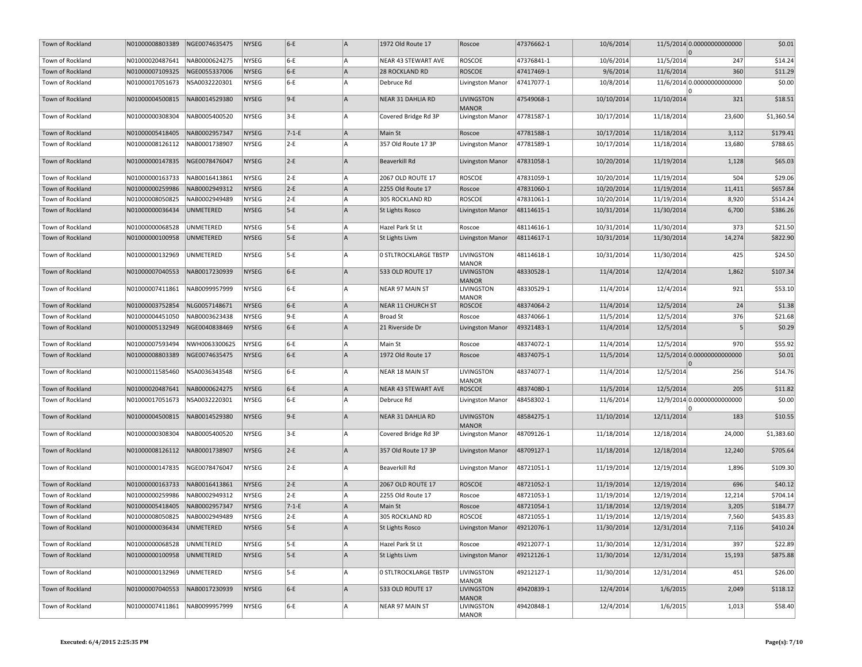| Town of Rockland | N01000008803389 | NGE0074635475 | <b>NYSEG</b> | $ 6-E $ | A   | 1972 Old Route 17            | Roscoe                            | 47376662-1 | 10/6/2014  |            | 11/5/2014 0.00000000000000 | \$0.01     |
|------------------|-----------------|---------------|--------------|---------|-----|------------------------------|-----------------------------------|------------|------------|------------|----------------------------|------------|
| Town of Rockland | N01000020487641 | NAB0000624275 | <b>NYSEG</b> | 6-E     | lA. | NEAR 43 STEWART AVE          | ROSCOE                            | 47376841-1 | 10/6/2014  | 11/5/2014  | 247                        | \$14.24    |
| Town of Rockland | N01000007109325 | NGE0055337006 | <b>NYSEG</b> | $6-E$   | A   | <b>28 ROCKLAND RD</b>        | <b>ROSCOE</b>                     | 47417469-1 | 9/6/2014   | 11/6/2014  | 360                        | \$11.29    |
| Town of Rockland | N01000017051673 | NSA0032220301 | <b>NYSEG</b> | 6-E     |     | Debruce Rd                   | Livingston Manor                  | 47417077-1 | 10/8/2014  |            | 11/6/2014 0.00000000000000 | \$0.00     |
| Town of Rockland | N01000004500815 | NAB0014529380 | <b>NYSEG</b> | $9-E$   | lA  | NEAR 31 DAHLIA RD            | <b>LIVINGSTON</b>                 | 47549068-1 | 10/10/2014 | 11/10/2014 | 321                        | \$18.51    |
| Town of Rockland | N01000000308304 | NAB0005400520 | <b>NYSEG</b> | 3-E     | lA. | Covered Bridge Rd 3P         | <b>MANOR</b><br>Livingston Manor  | 47781587-1 | 10/17/2014 | 11/18/2014 | 23,600                     | \$1,360.54 |
| Town of Rockland | N01000005418405 | NAB0002957347 | <b>NYSEG</b> | $7-1-E$ | A   | Main St                      | Roscoe                            | 47781588-1 | 10/17/2014 | 11/18/2014 | 3,112                      | \$179.41   |
| Town of Rockland | N01000008126112 | NAB0001738907 | <b>NYSEG</b> | 2-E     | A   | 357 Old Route 17 3P          | Livingston Manor                  | 47781589-1 | 10/17/2014 | 11/18/2014 | 13,680                     | \$788.65   |
| Town of Rockland | N01000000147835 | NGE0078476047 | <b>NYSEG</b> | $ 2-E $ | A   | Beaverkill Rd                | Livingston Manor                  | 47831058-1 | 10/20/2014 | 11/19/2014 | 1,128                      | \$65.03    |
| Town of Rockland | N01000000163733 | NAB0016413861 | <b>NYSEG</b> | $2-E$   | A   | <b>2067 OLD ROUTE 17</b>     | <b>ROSCOE</b>                     | 47831059-1 | 10/20/2014 | 11/19/2014 | 504                        | \$29.06    |
| Town of Rockland | N01000000259986 | NAB0002949312 | <b>NYSEG</b> | $ 2-E $ | A   | 2255 Old Route 17            | Roscoe                            | 47831060-1 | 10/20/2014 | 11/19/2014 | 11,411                     | \$657.84   |
| Town of Rockland | N01000008050825 | NAB0002949489 | <b>NYSEG</b> | $2-E$   | ΙA  | 305 ROCKLAND RD              | <b>ROSCOE</b>                     | 47831061-1 | 10/20/2014 | 11/19/2014 | 8,920                      | \$514.24   |
| Town of Rockland | N01000000036434 | UNMETERED     | <b>NYSEG</b> | $5-E$   | A   | St Lights Rosco              | Livingston Manor                  | 48114615-1 | 10/31/2014 | 11/30/2014 | 6,700                      | \$386.26   |
| Town of Rockland | N01000000068528 | UNMETERED     | <b>NYSEG</b> | 5-E     | lA. | Hazel Park St Lt             | Roscoe                            | 48114616-1 | 10/31/2014 | 11/30/2014 | 373                        | \$21.50    |
| Town of Rockland | N01000000100958 | UNMETERED     | <b>NYSEG</b> | $5-E$   | A   | St Lights Livm               | Livingston Manor                  | 48114617-1 | 10/31/2014 | 11/30/2014 | 14,274                     | \$822.90   |
| Town of Rockland | N01000000132969 | UNMETERED     | <b>NYSEG</b> | 5-E     | lA. | <b>0 STLTROCKLARGE TBSTP</b> | LIVINGSTON<br><b>MANOR</b>        | 48114618-1 | 10/31/2014 | 11/30/2014 | 425                        | \$24.50    |
| Town of Rockland | N01000007040553 | NAB0017230939 | <b>NYSEG</b> | $ 6-E $ | A   | 533 OLD ROUTE 17             | LIVINGSTON<br><b>MANOR</b>        | 48330528-1 | 11/4/2014  | 12/4/2014  | 1,862                      | \$107.34   |
| Town of Rockland | N01000007411861 | NAB0099957999 | <b>NYSEG</b> | 6-E     | lA  | NEAR 97 MAIN ST              | LIVINGSTON<br>MANOR               | 48330529-1 | 11/4/2014  | 12/4/2014  | 921                        | \$53.10    |
| Town of Rockland | N01000003752854 | NLG0057148671 | <b>NYSEG</b> | $ 6-E $ | A   | NEAR 11 CHURCH ST            | <b>ROSCOE</b>                     | 48374064-2 | 11/4/2014  | 12/5/2014  | 24                         | \$1.38     |
| Town of Rockland | N01000004451050 | NAB0003623438 | <b>NYSEG</b> | 9-E     | lA  | Broad St                     | Roscoe                            | 48374066-1 | 11/5/2014  | 12/5/2014  | 376                        | \$21.68    |
| Town of Rockland | N01000005132949 | NGE0040838469 | <b>NYSEG</b> | $ 6-E $ | A   | 21 Riverside Dr              | Livingston Manor                  | 49321483-1 | 11/4/2014  | 12/5/2014  | 5                          | \$0.29     |
| Town of Rockland | N01000007593494 | NWH0063300625 | <b>NYSEG</b> | 6-E     | A   | Main St                      | Roscoe                            | 48374072-1 | 11/4/2014  | 12/5/2014  | 970                        | \$55.92    |
| Town of Rockland | N01000008803389 | NGE0074635475 | <b>NYSEG</b> | $ 6-E $ | lA. | 1972 Old Route 17            | Roscoe                            | 48374075-1 | 11/5/2014  |            | 12/5/2014 0.00000000000000 | \$0.01     |
| Town of Rockland | N01000011585460 | NSA0036343548 | <b>NYSEG</b> | 6-E     | lA. | NEAR 18 MAIN ST              | LIVINGSTON<br><b>MANOR</b>        | 48374077-1 | 11/4/2014  | 12/5/2014  | 256                        | \$14.76    |
| Town of Rockland | N01000020487641 | NAB0000624275 | <b>NYSEG</b> | $6-E$   | A   | NEAR 43 STEWART AVE          | <b>ROSCOE</b>                     | 48374080-1 | 11/5/2014  | 12/5/2014  | 205                        | \$11.82    |
| Town of Rockland | N01000017051673 | NSA0032220301 | <b>NYSEG</b> | 6-E     | A   | Debruce Rd                   | Livingston Manor                  | 48458302-1 | 11/6/2014  |            | 12/9/2014 0.00000000000000 | \$0.00     |
| Town of Rockland | N01000004500815 | NAB0014529380 | <b>NYSEG</b> | $9-E$   | la. | NEAR 31 DAHLIA RD            | <b>LIVINGSTON</b><br><b>MANOR</b> | 48584275-1 | 11/10/2014 | 12/11/2014 | 183                        | \$10.55    |
| Town of Rockland | N01000000308304 | NAB0005400520 | <b>NYSEG</b> | 3-E     | lA. | Covered Bridge Rd 3P         | Livingston Manor                  | 48709126-1 | 11/18/2014 | 12/18/2014 | 24,000                     | \$1,383.60 |
| Town of Rockland | N01000008126112 | NAB0001738907 | <b>NYSEG</b> | $ 2-E $ | lA. | 357 Old Route 17 3P          | Livingston Manor                  | 48709127-1 | 11/18/2014 | 12/18/2014 | 12,240                     | \$705.64   |
| Town of Rockland | N01000000147835 | NGE0078476047 | <b>NYSEG</b> | $2-E$   | lA. | Beaverkill Rd                | Livingston Manor                  | 48721051-1 | 11/19/2014 | 12/19/2014 | 1,896                      | \$109.30   |
| Town of Rockland | N01000000163733 | NAB0016413861 | <b>NYSEG</b> | $ 2-E $ | lA  | 2067 OLD ROUTE 17            | <b>ROSCOE</b>                     | 48721052-1 | 11/19/2014 | 12/19/2014 | 696                        | \$40.12    |
| Town of Rockland | N01000000259986 | NAB0002949312 | <b>NYSEG</b> | $2-E$   | ۱A  | 2255 Old Route 17            | Roscoe                            | 48721053-1 | 11/19/2014 | 12/19/2014 | 12,214                     | \$704.14   |
| Town of Rockland | N01000005418405 | NAB0002957347 | <b>NYSEG</b> | $7-1-E$ |     | Main St                      | Roscoe                            | 48721054-1 | 11/18/2014 | 12/19/2014 | 3,205                      | \$184.77   |
| Town of Rockland | N01000008050825 | NAB0002949489 | <b>NYSEG</b> | 2-E     | ΙA  | 305 ROCKLAND RD              | <b>ROSCOE</b>                     | 48721055-1 | 11/19/2014 | 12/19/2014 | 7,560                      | \$435.83   |
| Town of Rockland | N01000000036434 | UNMETERED     | <b>NYSEG</b> | 5-E     |     | St Lights Rosco              | Livingston Manor                  | 49212076-1 | 11/30/2014 | 12/31/2014 | 7,116                      | \$410.24   |
| Town of Rockland | N01000000068528 | UNMETERED     | <b>NYSEG</b> | 5-E     | A   | Hazel Park St Lt             | Roscoe                            | 49212077-1 | 11/30/2014 | 12/31/2014 | 397                        | \$22.89    |
| Town of Rockland | N01000000100958 | UNMETERED     | <b>NYSEG</b> | $5-E$   | A   | St Lights Livm               | Livingston Manor                  | 49212126-1 | 11/30/2014 | 12/31/2014 | 15, 193                    | \$875.88   |
| Town of Rockland | N01000000132969 | UNMETERED     | NYSEG        | $5-E$   | A   | <b>0 STLTROCKLARGE TBSTP</b> | LIVINGSTON<br>MANOR               | 49212127-1 | 11/30/2014 | 12/31/2014 | 451                        | \$26.00    |
| Town of Rockland | N01000007040553 | NAB0017230939 | <b>NYSEG</b> | $6-E$   | A   | 533 OLD ROUTE 17             | <b>LIVINGSTON</b><br><b>MANOR</b> | 49420839-1 | 12/4/2014  | 1/6/2015   | 2,049                      | \$118.12   |
| Town of Rockland | N01000007411861 | NAB0099957999 | <b>NYSEG</b> | 6-E     | A   | NEAR 97 MAIN ST              | LIVINGSTON<br><b>MANOR</b>        | 49420848-1 | 12/4/2014  | 1/6/2015   | 1,013                      | \$58.40    |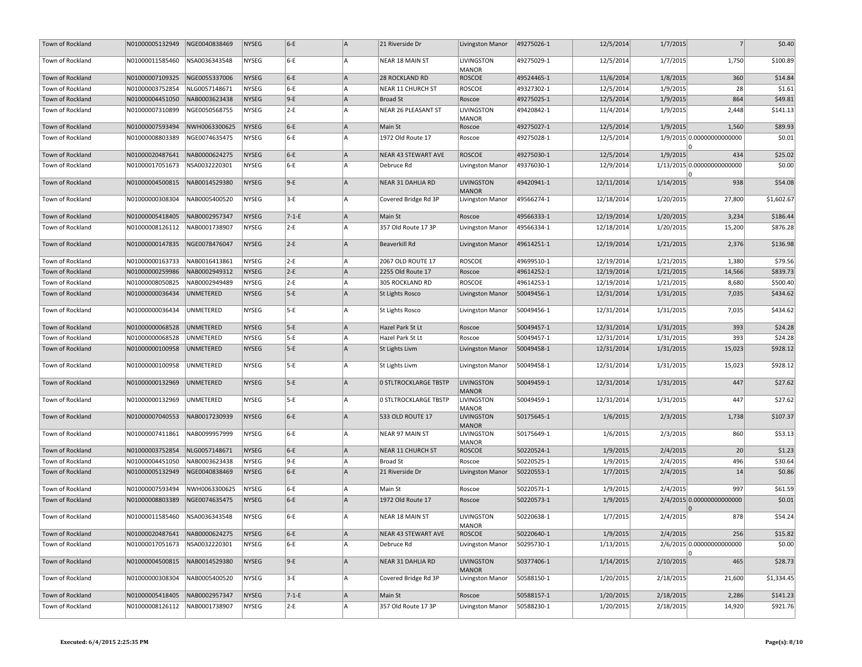| Town of Rockland | N01000005132949 | NGE0040838469    | <b>NYSEG</b> | $ 6-E $ | A   | 21 Riverside Dr              | Livingston Manor                  | 49275026-1 | 12/5/2014  | 1/7/2015  | $\overline{7}$             | \$0.40     |
|------------------|-----------------|------------------|--------------|---------|-----|------------------------------|-----------------------------------|------------|------------|-----------|----------------------------|------------|
| Town of Rockland | N01000011585460 | NSA0036343548    | <b>NYSEG</b> | 6-E     | lA. | NEAR 18 MAIN ST              | LIVINGSTON<br><b>MANOR</b>        | 49275029-1 | 12/5/2014  | 1/7/2015  | 1,750                      | \$100.89   |
| Town of Rockland | N01000007109325 | NGE0055337006    | <b>NYSEG</b> | $ 6-E $ | A   | 28 ROCKLAND RD               | <b>ROSCOE</b>                     | 49524465-1 | 11/6/2014  | 1/8/2015  | 360                        | \$14.84    |
| Town of Rockland | N01000003752854 | NLG0057148671    | <b>NYSEG</b> | 6-E     | lА  | NEAR 11 CHURCH ST            | <b>ROSCOE</b>                     | 49327302-1 | 12/5/2014  | 1/9/2015  | 28                         | \$1.61     |
| Town of Rockland | N01000004451050 | NAB0003623438    | <b>NYSEG</b> | $9-E$   | A   | Broad St                     | Roscoe                            | 49275025-1 | 12/5/2014  | 1/9/2015  | 864                        | \$49.81    |
| Town of Rockland | N01000007310899 | NGE0050568755    | <b>NYSEG</b> | $2-E$   | ΙA  | NEAR 26 PLEASANT ST          | LIVINGSTON<br><b>MANOR</b>        | 49420842-1 | 11/4/2014  | 1/9/2015  | 2,448                      | \$141.13   |
| Town of Rockland | N01000007593494 | NWH0063300625    | <b>NYSEG</b> | $6-E$   | A   | Main St                      | Roscoe                            | 49275027-1 | 12/5/2014  | 1/9/2015  | 1,560                      | \$89.93    |
| Town of Rockland | N01000008803389 | NGE0074635475    | <b>NYSEG</b> | 6-E     | A   | 1972 Old Route 17            | Roscoe                            | 49275028-1 | 12/5/2014  |           | 1/9/2015 0.00000000000000  | \$0.01     |
| Town of Rockland | N01000020487641 | NAB0000624275    | <b>NYSEG</b> | $ 6-E $ | A   | NEAR 43 STEWART AVE          | <b>ROSCOE</b>                     | 49275030-1 | 12/5/2014  | 1/9/2015  | 434                        | \$25.02    |
| Town of Rockland | N01000017051673 | NSA0032220301    | <b>NYSEG</b> | 6-E     | lA. | Debruce Rd                   | Livingston Manor                  | 49376030-1 | 12/9/2014  |           | 1/13/2015 0.00000000000000 | \$0.00     |
| Town of Rockland | N01000004500815 | NAB0014529380    | <b>NYSEG</b> | $ 9-E $ | A   | NEAR 31 DAHLIA RD            | <b>LIVINGSTON</b><br><b>MANOR</b> | 49420941-1 | 12/11/2014 | 1/14/2015 | 938                        | \$54.08    |
| Town of Rockland | N01000000308304 | NAB0005400520    | <b>NYSEG</b> | 3-E     | la. | Covered Bridge Rd 3P         | Livingston Manor                  | 49566274-1 | 12/18/2014 | 1/20/2015 | 27,800                     | \$1,602.67 |
| Town of Rockland | N01000005418405 | NAB0002957347    | <b>NYSEG</b> | $7-1-E$ | A   | Main St                      | Roscoe                            | 49566333-1 | 12/19/2014 | 1/20/2015 | 3,234                      | \$186.44   |
| Town of Rockland | N01000008126112 | NAB0001738907    | <b>NYSEG</b> | $2-E$   | A   | 357 Old Route 17 3P          | Livingston Manor                  | 49566334-1 | 12/18/2014 | 1/20/2015 | 15,200                     | \$876.28   |
| Town of Rockland | N01000000147835 | NGE0078476047    | <b>NYSEG</b> | $ 2-E $ | A   | Beaverkill Rd                | Livingston Manor                  | 49614251-1 | 12/19/2014 | 1/21/2015 | 2,376                      | \$136.98   |
| Town of Rockland | N01000000163733 | NAB0016413861    | <b>NYSEG</b> | $2-E$   | lA. | 2067 OLD ROUTE 17            | <b>ROSCOE</b>                     | 49699510-1 | 12/19/2014 | 1/21/2015 | 1,380                      | \$79.56    |
| Town of Rockland | N01000000259986 | NAB0002949312    | <b>NYSEG</b> | $ 2-E $ | lA. | 2255 Old Route 17            | Roscoe                            | 49614252-1 | 12/19/2014 | 1/21/2015 | 14,566                     | \$839.73   |
| Town of Rockland | N01000008050825 | NAB0002949489    | <b>NYSEG</b> | $2-E$   | A   | 305 ROCKLAND RD              | <b>ROSCOE</b>                     | 49614253-1 | 12/19/2014 | 1/21/2015 | 8,680                      | \$500.40   |
| Town of Rockland | N01000000036434 | <b>UNMETERED</b> | <b>NYSEG</b> | $5-E$   | A   | St Lights Rosco              | Livingston Manor                  | 50049456-1 | 12/31/2014 | 1/31/2015 | 7,035                      | \$434.62   |
| Town of Rockland | N01000000036434 | <b>UNMETERED</b> | <b>NYSEG</b> | 5-E     | la. | St Lights Rosco              | Livingston Manor                  | 50049456-1 | 12/31/2014 | 1/31/2015 | 7,035                      | \$434.62   |
| Town of Rockland | N01000000068528 | <b>UNMETERED</b> | <b>NYSEG</b> | $5-E$   | A   | Hazel Park St Lt             | Roscoe                            | 50049457-1 | 12/31/2014 | 1/31/2015 | 393                        | \$24.28    |
| Town of Rockland | N01000000068528 | UNMETERED        | <b>NYSEG</b> | 5-E     | ΙA  | Hazel Park St Lt             | Roscoe                            | 50049457-1 | 12/31/2014 | 1/31/2015 | 393                        | \$24.28    |
| Town of Rockland | N01000000100958 | <b>UNMETERED</b> | <b>NYSEG</b> | $5-E$   | A   | St Lights Livm               | Livingston Manor                  | 50049458-1 | 12/31/2014 | 1/31/2015 | 15,023                     | \$928.12   |
| Town of Rockland | N01000000100958 | <b>UNMETERED</b> | <b>NYSEG</b> | 5-E     | lA. | St Lights Livm               | Livingston Manor                  | 50049458-1 | 12/31/2014 | 1/31/2015 | 15,023                     | \$928.12   |
| Town of Rockland | N01000000132969 | <b>UNMETERED</b> | <b>NYSEG</b> | $5-E$   | A   | <b>0 STLTROCKLARGE TBSTP</b> | LIVINGSTON<br><b>MANOR</b>        | 50049459-1 | 12/31/2014 | 1/31/2015 | 447                        | \$27.62    |
| Town of Rockland | N01000000132969 | <b>UNMETERED</b> | <b>NYSEG</b> | 5-E     | A   | <b>0 STLTROCKLARGE TBSTP</b> | LIVINGSTON<br><b>MANOR</b>        | 50049459-1 | 12/31/2014 | 1/31/2015 | 447                        | \$27.62    |
| Town of Rockland | N01000007040553 | NAB0017230939    | <b>NYSEG</b> | $ 6-E $ | A.  | 533 OLD ROUTE 17             | <b>LIVINGSTON</b><br><b>MANOR</b> | 50175645-1 | 1/6/2015   | 2/3/2015  | 1,738                      | \$107.37   |
| Town of Rockland | N01000007411861 | NAB0099957999    | <b>NYSEG</b> | 6-E     | A   | NEAR 97 MAIN ST              | LIVINGSTON<br><b>MANOR</b>        | 50175649-1 | 1/6/2015   | 2/3/2015  | 860                        | \$53.13    |
| Town of Rockland | N01000003752854 | NLG0057148671    | <b>NYSEG</b> | $ 6-E $ | lA. | NEAR 11 CHURCH ST            | <b>ROSCOE</b>                     | 50220524-1 | 1/9/2015   | 2/4/2015  | 20                         | \$1.23     |
| Town of Rockland | N01000004451050 | NAB0003623438    | <b>NYSEG</b> | 9-E     |     | <b>Broad St</b>              | Roscoe                            | 50220525-1 | 1/9/2015   | 2/4/2015  | 496                        | \$30.64    |
| Town of Rockland | N01000005132949 | NGE0040838469    | <b>NYSEG</b> | $ 6-E $ | lA. | 21 Riverside Dr              | Livingston Manor                  | 50220553-1 | 1/7/2015   | 2/4/2015  | 14                         | \$0.86     |
| Town of Rockland | N01000007593494 | NWH0063300625    | <b>NYSEG</b> | 6-E     | A   | Main St                      | Roscoe                            | 50220571-1 | 1/9/2015   | 2/4/2015  | 997                        | \$61.59    |
| Town of Rockland | N01000008803389 | NGE0074635475    | <b>NYSEG</b> | $6-E$   | A   | 1972 Old Route 17            | Roscoe                            | 50220573-1 | 1/9/2015   |           | 2/4/2015 0.00000000000000  | \$0.01     |
| Town of Rockland | N01000011585460 | NSA0036343548    | <b>NYSEG</b> | $6-E$   | lА  | NEAR 18 MAIN ST              | LIVINGSTON<br><b>MANOR</b>        | 50220638-1 | 1/7/2015   | 2/4/2015  | 878                        | \$54.24    |
| Town of Rockland | N01000020487641 | NAB0000624275    | <b>NYSEG</b> | $ 6-E $ | A   | NEAR 43 STEWART AVE          | <b>ROSCOE</b>                     | 50220640-1 | 1/9/2015   | 2/4/2015  | 256                        | \$15.82    |
| Town of Rockland | N01000017051673 | NSA0032220301    | <b>NYSEG</b> | 6-E     | la. | Debruce Rd                   | Livingston Manor                  | 50295730-1 | 1/13/2015  |           | 2/6/2015 0.00000000000000  | \$0.00     |
| Town of Rockland | N01000004500815 | NAB0014529380    | <b>NYSEG</b> | $9-E$   | A   | NEAR 31 DAHLIA RD            | LIVINGSTON<br><b>MANOR</b>        | 50377406-1 | 1/14/2015  | 2/10/2015 | 465                        | \$28.73    |
| Town of Rockland | N01000000308304 | NAB0005400520    | <b>NYSEG</b> | $3-E$   | la. | Covered Bridge Rd 3P         | Livingston Manor                  | 50588150-1 | 1/20/2015  | 2/18/2015 | 21,600                     | \$1,334.45 |
| Town of Rockland | N01000005418405 | NAB0002957347    | <b>NYSEG</b> | $7-1-E$ | A   | Main St                      | Roscoe                            | 50588157-1 | 1/20/2015  | 2/18/2015 | 2,286                      | \$141.23   |
| Town of Rockland | N01000008126112 | NAB0001738907    | <b>NYSEG</b> | 2-E     | A   | 357 Old Route 17 3P          | Livingston Manor                  | 50588230-1 | 1/20/2015  | 2/18/2015 | 14,920                     | \$921.76   |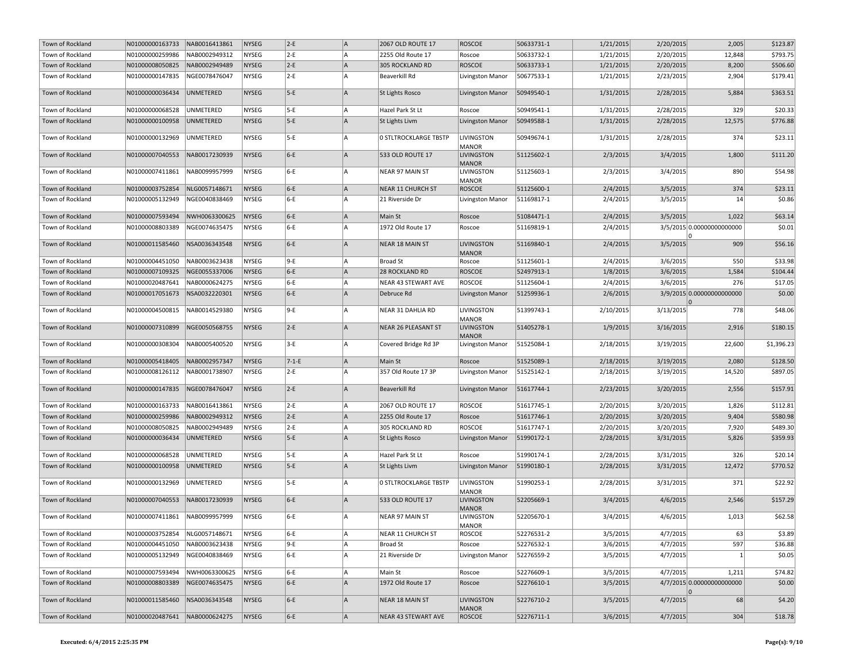| Town of Rockland | N01000000163733 | NAB0016413861    | NYSEG        | $ 2-E $   | A   | <b>2067 OLD ROUTE 17</b>     | <b>ROSCOE</b>                     | 50633731-1 | 1/21/2015 | 2/20/2015 | 2,005                     | \$123.87   |
|------------------|-----------------|------------------|--------------|-----------|-----|------------------------------|-----------------------------------|------------|-----------|-----------|---------------------------|------------|
| Town of Rockland | N01000000259986 | NAB0002949312    | <b>NYSEG</b> | $ 2-E $   | İА  | 2255 Old Route 17            | Roscoe                            | 50633732-1 | 1/21/2015 | 2/20/2015 | 12,848                    | \$793.75   |
| Town of Rockland | N01000008050825 | NAB0002949489    | <b>NYSEG</b> | $ 2-E $   | A   | 305 ROCKLAND RD              | <b>ROSCOE</b>                     | 50633733-1 | 1/21/2015 | 2/20/2015 | 8,200                     | \$506.60   |
| Town of Rockland | N01000000147835 | NGE0078476047    | <b>NYSEG</b> | $2-E$     | A   | Beaverkill Rd                | Livingston Manor                  | 50677533-1 | 1/21/2015 | 2/23/2015 | 2,904                     | \$179.41   |
| Town of Rockland | N01000000036434 | UNMETERED        | <b>NYSEG</b> | $5-E$     | A   | St Lights Rosco              | Livingston Manor                  | 50949540-1 | 1/31/2015 | 2/28/2015 | 5,884                     | \$363.51   |
| Town of Rockland | N01000000068528 | UNMETERED        | <b>NYSEG</b> | 5-E       | A   | Hazel Park St Lt             | Roscoe                            | 50949541-1 | 1/31/2015 | 2/28/2015 | 329                       | \$20.33    |
| Town of Rockland | N01000000100958 | <b>UNMETERED</b> | <b>NYSEG</b> | $5-E$     | A   | St Lights Livm               | Livingston Manor                  | 50949588-1 | 1/31/2015 | 2/28/2015 | 12,575                    | \$776.88   |
| Town of Rockland | N01000000132969 | UNMETERED        | <b>NYSEG</b> | 5-E       | A   | <b>0 STLTROCKLARGE TBSTP</b> | LIVINGSTON<br><b>MANOR</b>        | 50949674-1 | 1/31/2015 | 2/28/2015 | 374                       | \$23.11    |
| Town of Rockland | N01000007040553 | NAB0017230939    | <b>NYSEG</b> | $6-E$     | A.  | 533 OLD ROUTE 17             | <b>LIVINGSTON</b><br><b>MANOR</b> | 51125602-1 | 2/3/2015  | 3/4/2015  | 1,800                     | \$111.20   |
| Town of Rockland | N01000007411861 | NAB0099957999    | <b>NYSEG</b> | $6-E$     | A   | NEAR 97 MAIN ST              | LIVINGSTON<br><b>MANOR</b>        | 51125603-1 | 2/3/2015  | 3/4/2015  | 890                       | \$54.98    |
| Town of Rockland | N01000003752854 | NLG0057148671    | <b>NYSEG</b> | $ 6-E $   | A   | <b>NEAR 11 CHURCH ST</b>     | <b>ROSCOE</b>                     | 51125600-1 | 2/4/2015  | 3/5/2015  | 374                       | \$23.11    |
| Town of Rockland | N01000005132949 | NGE0040838469    | <b>NYSEG</b> | $6-E$     | lA. | 21 Riverside Dr              | Livingston Manor                  | 51169817-1 | 2/4/2015  | 3/5/2015  | 14                        | \$0.86     |
| Town of Rockland | N01000007593494 | NWH0063300625    | <b>NYSEG</b> | $ 6-E $   | A   | Main St                      | Roscoe                            | 51084471-1 | 2/4/2015  | 3/5/2015  | 1,022                     | \$63.14    |
| Town of Rockland | N01000008803389 | NGE0074635475    | <b>NYSEG</b> | 6-E       | A   | 1972 Old Route 17            | Roscoe                            | 51169819-1 | 2/4/2015  |           | 3/5/2015 0.00000000000000 | \$0.01     |
| Town of Rockland | N01000011585460 | NSA0036343548    | <b>NYSEG</b> | $ 6-E $   | A   | NEAR 18 MAIN ST              | LIVINGSTON<br><b>MANOR</b>        | 51169840-1 | 2/4/2015  | 3/5/2015  | 909                       | \$56.16    |
| Town of Rockland | N01000004451050 | NAB0003623438    | <b>NYSEG</b> | $9-E$     | lA. | Broad St                     | Roscoe                            | 51125601-1 | 2/4/2015  | 3/6/2015  | 550                       | \$33.98    |
| Town of Rockland | N01000007109325 | NGE0055337006    | <b>NYSEG</b> | $ 6-E $   | A   | 28 ROCKLAND RD               | <b>ROSCOE</b>                     | 52497913-1 | 1/8/2015  | 3/6/2015  | 1,584                     | \$104.44   |
| Town of Rockland | N01000020487641 | NAB0000624275    | <b>NYSEG</b> | $6-E$     | A   | NEAR 43 STEWART AVE          | <b>ROSCOE</b>                     | 51125604-1 | 2/4/2015  | 3/6/2015  | 276                       | \$17.05    |
| Town of Rockland | N01000017051673 | NSA0032220301    | <b>NYSEG</b> | $ 6-E $   | A   | Debruce Rd                   | Livingston Manor                  | 51259936-1 | 2/6/2015  |           | 3/9/2015 0.00000000000000 | \$0.00     |
| Town of Rockland | N01000004500815 | NAB0014529380    | <b>NYSEG</b> | $9-E$     | A   | NEAR 31 DAHLIA RD            | LIVINGSTON<br><b>MANOR</b>        | 51399743-1 | 2/10/2015 | 3/13/2015 | 778                       | \$48.06    |
| Town of Rockland | N01000007310899 | NGE0050568755    | <b>NYSEG</b> | $ 2-E $   | A   | NEAR 26 PLEASANT ST          | <b>LIVINGSTON</b><br><b>MANOR</b> | 51405278-1 | 1/9/2015  | 3/16/2015 | 2,916                     | \$180.15   |
| Town of Rockland | N01000000308304 | NAB0005400520    | <b>NYSEG</b> | $3-E$     | la. | Covered Bridge Rd 3P         | Livingston Manor                  | 51525084-1 | 2/18/2015 | 3/19/2015 | 22,600                    | \$1,396.23 |
| Town of Rockland | N01000005418405 | NAB0002957347    | <b>NYSEG</b> | $ 7-1-E $ | A   | Main St                      | Roscoe                            | 51525089-1 | 2/18/2015 | 3/19/2015 | 2,080                     | \$128.50   |
| Town of Rockland | N01000008126112 | NAB0001738907    | <b>NYSEG</b> | $2-E$     | lA. | 357 Old Route 17 3P          | Livingston Manor                  | 51525142-1 | 2/18/2015 | 3/19/2015 | 14,520                    | \$897.05   |
| Town of Rockland | N01000000147835 | NGE0078476047    | <b>NYSEG</b> | $ 2-E $   | A   | Beaverkill Rd                | Livingston Manor                  | 51617744-1 | 2/23/2015 | 3/20/2015 | 2,556                     | \$157.91   |
| Town of Rockland | N01000000163733 | NAB0016413861    | <b>NYSEG</b> | $2-E$     | A   | 2067 OLD ROUTE 17            | <b>ROSCOE</b>                     | 51617745-1 | 2/20/2015 | 3/20/2015 | 1,826                     | \$112.81   |
| Town of Rockland | N01000000259986 | NAB0002949312    | <b>NYSEG</b> | $ 2-E $   | A   | 2255 Old Route 17            | Roscoe                            | 51617746-1 | 2/20/2015 | 3/20/2015 | 9,404                     | \$580.98   |
| Town of Rockland | N01000008050825 | NAB0002949489    | <b>NYSEG</b> | $ 2-E $   | lА  | 305 ROCKLAND RD              | <b>ROSCOE</b>                     | 51617747-1 | 2/20/2015 | 3/20/2015 | 7,920                     | \$489.30   |
| Town of Rockland | N01000000036434 | UNMETERED        | <b>NYSEG</b> | $5-E$     | A   | St Lights Rosco              | Livingston Manor                  | 51990172-1 | 2/28/2015 | 3/31/2015 | 5,826                     | \$359.93   |
| Town of Rockland | N01000000068528 | UNMETERED        | <b>NYSEG</b> | $5-E$     | ΙA  | Hazel Park St Lt             | Roscoe                            | 51990174-1 | 2/28/2015 | 3/31/2015 | 326                       | \$20.14    |
| Town of Rockland | N01000000100958 | UNMETERED        | <b>NYSEG</b> | $5-E$     | A   | St Lights Livm               | Livingston Manor                  | 51990180-1 | 2/28/2015 | 3/31/2015 | 12,472                    | \$770.52   |
| Town of Rockland | N01000000132969 | UNMETERED        | <b>NYSEG</b> | 5-E       | la. | <b>0 STLTROCKLARGE TBSTP</b> | LIVINGSTON<br><b>MANOR</b>        | 51990253-1 | 2/28/2015 | 3/31/2015 | 371                       | \$22.92    |
| Town of Rockland | N01000007040553 | NAB0017230939    | <b>NYSEG</b> | $ 6-E $   | A   | 533 OLD ROUTE 17             | LIVINGSTON<br><b>MANOR</b>        | 52205669-1 | 3/4/2015  | 4/6/2015  | 2,546                     | \$157.29   |
| Town of Rockland | N01000007411861 | NAB0099957999    | <b>NYSEG</b> | 6-E       | lA. | NEAR 97 MAIN ST              | LIVINGSTON<br><b>MANOR</b>        | 52205670-1 | 3/4/2015  | 4/6/2015  | 1,013                     | \$62.58    |
| Town of Rockland | N01000003752854 | NLG0057148671    | <b>NYSEG</b> | $ 6-E $   | A   | NEAR 11 CHURCH ST            | <b>ROSCOE</b>                     | 52276531-2 | 3/5/2015  | 4/7/2015  | 63                        | \$3.89     |
| Town of Rockland | N01000004451050 | NAB0003623438    | <b>NYSEG</b> | 9-E       | A   | Broad St                     | Roscoe                            | 52276532-1 | 3/6/2015  | 4/7/2015  | 597                       | \$36.88    |
| Town of Rockland | N01000005132949 | NGE0040838469    | <b>NYSEG</b> | 6-E       | lA. | 21 Riverside Dr              | Livingston Manor                  | 52276559-2 | 3/5/2015  | 4/7/2015  |                           | \$0.05     |
| Town of Rockland | N01000007593494 | NWH0063300625    | <b>NYSEG</b> | $6-E$     | A   | Main St                      | Roscoe                            | 52276609-1 | 3/5/2015  | 4/7/2015  | 1,211                     | \$74.82    |
| Town of Rockland | N01000008803389 | NGE0074635475    | <b>NYSEG</b> | $ 6-E $   | A   | 1972 Old Route 17            | Roscoe                            | 52276610-1 | 3/5/2015  |           | 4/7/2015 0.00000000000000 | \$0.00     |
| Town of Rockland | N01000011585460 | NSA0036343548    | <b>NYSEG</b> | $ 6-E $   | A   | NEAR 18 MAIN ST              | <b>LIVINGSTON</b><br><b>MANOR</b> | 52276710-2 | 3/5/2015  | 4/7/2015  | 68                        | \$4.20     |
| Town of Rockland | N01000020487641 | NAB0000624275    | NYSEG        | $ 6-E $   | A   | NEAR 43 STEWART AVE          | <b>ROSCOE</b>                     | 52276711-1 | 3/6/2015  | 4/7/2015  | 304                       | \$18.78    |